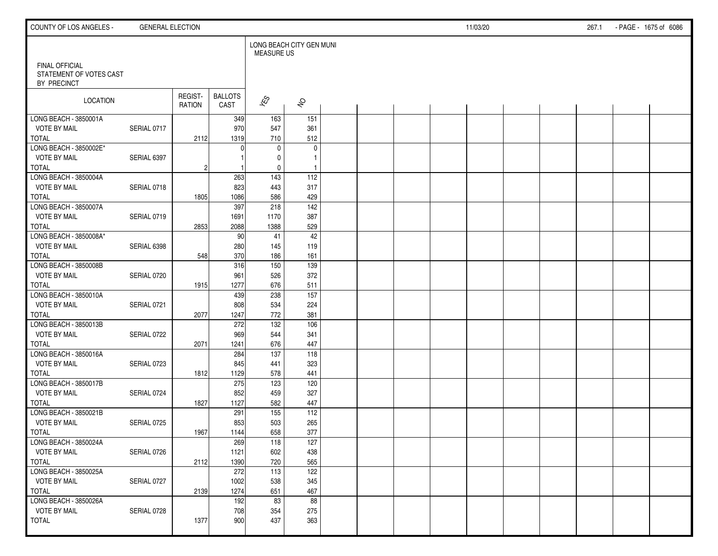| COUNTY OF LOS ANGELES -                                         | <b>GENERAL ELECTION</b> |                          |                        |                                               |                        |  |  | 11/03/20 |  | 267.1 | - PAGE - 1675 of 6086 |  |
|-----------------------------------------------------------------|-------------------------|--------------------------|------------------------|-----------------------------------------------|------------------------|--|--|----------|--|-------|-----------------------|--|
|                                                                 |                         |                          |                        | LONG BEACH CITY GEN MUNI<br><b>MEASURE US</b> |                        |  |  |          |  |       |                       |  |
| <b>FINAL OFFICIAL</b><br>STATEMENT OF VOTES CAST<br>BY PRECINCT |                         |                          |                        |                                               |                        |  |  |          |  |       |                       |  |
| LOCATION                                                        |                         | REGIST-<br><b>RATION</b> | <b>BALLOTS</b><br>CAST | $\sqrt{\hat{S}}$                              | $\hat{\sigma}$         |  |  |          |  |       |                       |  |
| LONG BEACH - 3850001A                                           |                         |                          | 349                    | 163                                           | 151                    |  |  |          |  |       |                       |  |
| <b>VOTE BY MAIL</b>                                             | SERIAL 0717             |                          | 970                    | 547                                           | 361                    |  |  |          |  |       |                       |  |
| <b>TOTAL</b>                                                    |                         | 2112                     | 1319                   | 710                                           | 512                    |  |  |          |  |       |                       |  |
| LONG BEACH - 3850002E*                                          |                         |                          | ∩                      | $\mathbf 0$                                   | 0                      |  |  |          |  |       |                       |  |
| <b>VOTE BY MAIL</b>                                             | SERIAL 6397             |                          |                        | $\mathbf 0$                                   | $\mathbf{1}$           |  |  |          |  |       |                       |  |
| <b>TOTAL</b>                                                    |                         | $\overline{c}$           |                        | $\mathbf 0$                                   | $\mathbf{1}$           |  |  |          |  |       |                       |  |
| LONG BEACH - 3850004A                                           |                         |                          | 263                    | $\frac{143}{ }$                               | 112                    |  |  |          |  |       |                       |  |
| <b>VOTE BY MAIL</b>                                             | SERIAL 0718             |                          | 823                    | 443                                           | 317                    |  |  |          |  |       |                       |  |
| <b>TOTAL</b>                                                    |                         | 1805                     | 1086                   | 586                                           | 429                    |  |  |          |  |       |                       |  |
| LONG BEACH - 3850007A                                           |                         |                          | 397                    | 218                                           | $\frac{142}{ }$        |  |  |          |  |       |                       |  |
| <b>VOTE BY MAIL</b>                                             | SERIAL 0719             |                          | 1691                   | 1170                                          | 387                    |  |  |          |  |       |                       |  |
| <b>TOTAL</b>                                                    |                         | 2853                     | 2088                   | 1388                                          | 529                    |  |  |          |  |       |                       |  |
| LONG BEACH - 3850008A*                                          |                         |                          | 90                     | 41                                            | 42                     |  |  |          |  |       |                       |  |
| <b>VOTE BY MAIL</b>                                             | SERIAL 6398             |                          | 280                    | 145                                           | 119                    |  |  |          |  |       |                       |  |
| <b>TOTAL</b>                                                    |                         | 548                      | 370                    | 186                                           | 161                    |  |  |          |  |       |                       |  |
| LONG BEACH - 3850008B                                           |                         |                          | 316                    | 150                                           | 139                    |  |  |          |  |       |                       |  |
| <b>VOTE BY MAIL</b>                                             | SERIAL 0720             |                          | 961                    | 526                                           | 372                    |  |  |          |  |       |                       |  |
| <b>TOTAL</b>                                                    |                         | 1915                     | 1277                   | 676                                           | 511                    |  |  |          |  |       |                       |  |
| LONG BEACH - 3850010A                                           |                         |                          | 439                    | 238                                           | 157                    |  |  |          |  |       |                       |  |
| <b>VOTE BY MAIL</b>                                             | SERIAL 0721             |                          | 808                    | 534                                           | 224                    |  |  |          |  |       |                       |  |
| <b>TOTAL</b>                                                    |                         | 2077                     | 1247                   | 772                                           | 381                    |  |  |          |  |       |                       |  |
| LONG BEACH - 3850013B                                           |                         |                          | 272                    | 132                                           | 106                    |  |  |          |  |       |                       |  |
| <b>VOTE BY MAIL</b>                                             | SERIAL 0722             |                          | 969                    | 544                                           | 341                    |  |  |          |  |       |                       |  |
| <b>TOTAL</b>                                                    |                         | 2071                     | 1241                   | 676                                           | 447                    |  |  |          |  |       |                       |  |
| LONG BEACH - 3850016A                                           |                         |                          | 284                    | $\overline{137}$                              | $\overline{118}$       |  |  |          |  |       |                       |  |
| <b>VOTE BY MAIL</b>                                             | SERIAL 0723             |                          | 845                    | 441                                           | 323                    |  |  |          |  |       |                       |  |
| <b>TOTAL</b>                                                    |                         | 1812                     | 1129                   | 578                                           | 441                    |  |  |          |  |       |                       |  |
| LONG BEACH - 3850017B                                           |                         |                          | 275                    | 123                                           | 120                    |  |  |          |  |       |                       |  |
| <b>VOTE BY MAIL</b>                                             | SERIAL 0724             |                          | 852                    | 459                                           | 327                    |  |  |          |  |       |                       |  |
| <b>TOTAL</b>                                                    |                         | 1827                     | 1127                   | 582                                           | 447                    |  |  |          |  |       |                       |  |
| LONG BEACH - 3850021B                                           |                         |                          | 291                    | 155                                           | 112                    |  |  |          |  |       |                       |  |
| <b>VOTE BY MAIL</b>                                             | SERIAL 0725             |                          | 853                    | 503                                           | 265                    |  |  |          |  |       |                       |  |
| <b>TOTAL</b>                                                    |                         | 1967                     | 1144                   | 658                                           | 377                    |  |  |          |  |       |                       |  |
| LONG BEACH - 3850024A                                           |                         |                          | 269                    | 118                                           | 127                    |  |  |          |  |       |                       |  |
| <b>VOTE BY MAIL</b>                                             | SERIAL 0726             |                          | 1121                   | 602                                           | 438                    |  |  |          |  |       |                       |  |
| TOTAL<br>LONG BEACH - 3850025A                                  |                         | 2112                     | 1390                   | 720                                           | 565                    |  |  |          |  |       |                       |  |
| <b>VOTE BY MAIL</b>                                             |                         |                          | 272                    | 113                                           | 122                    |  |  |          |  |       |                       |  |
|                                                                 | SERIAL 0727             |                          | 1002                   | 538                                           | 345                    |  |  |          |  |       |                       |  |
| TOTAL<br>LONG BEACH - 3850026A                                  |                         | 2139                     | 1274                   | 651                                           | 467<br>$\overline{88}$ |  |  |          |  |       |                       |  |
| <b>VOTE BY MAIL</b>                                             | SERIAL 0728             |                          | 192                    | 83                                            |                        |  |  |          |  |       |                       |  |
| <b>TOTAL</b>                                                    |                         |                          | 708<br>900             | 354<br>437                                    | 275<br>363             |  |  |          |  |       |                       |  |
|                                                                 |                         | 1377                     |                        |                                               |                        |  |  |          |  |       |                       |  |
|                                                                 |                         |                          |                        |                                               |                        |  |  |          |  |       |                       |  |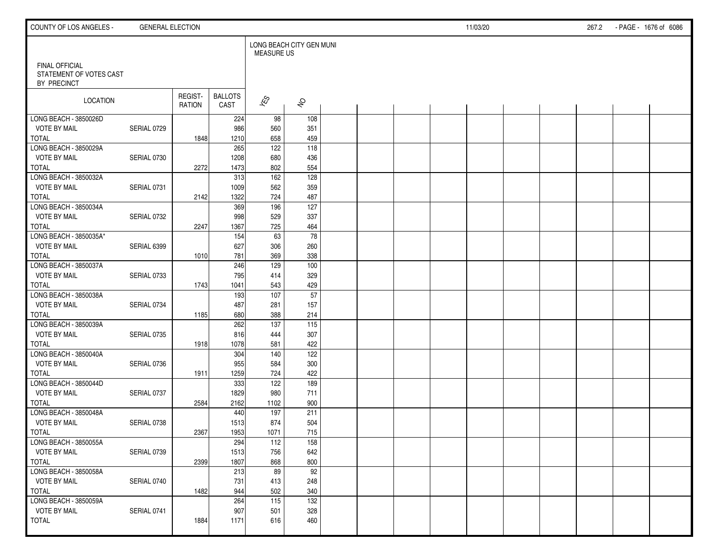| COUNTY OF LOS ANGELES -                                         | <b>GENERAL ELECTION</b> |                   |                        |                                               |                     |  |  | 11/03/20 |  | 267.2 | - PAGE - 1676 of 6086 |  |
|-----------------------------------------------------------------|-------------------------|-------------------|------------------------|-----------------------------------------------|---------------------|--|--|----------|--|-------|-----------------------|--|
|                                                                 |                         |                   |                        | LONG BEACH CITY GEN MUNI<br><b>MEASURE US</b> |                     |  |  |          |  |       |                       |  |
| <b>FINAL OFFICIAL</b><br>STATEMENT OF VOTES CAST<br>BY PRECINCT |                         |                   |                        |                                               |                     |  |  |          |  |       |                       |  |
| LOCATION                                                        |                         | REGIST-<br>RATION | <b>BALLOTS</b><br>CAST | $\sqrt{\hat{S}}$                              | $\hat{\mathcal{S}}$ |  |  |          |  |       |                       |  |
| LONG BEACH - 3850026D                                           |                         |                   | 224                    | 98                                            | 108                 |  |  |          |  |       |                       |  |
| <b>VOTE BY MAIL</b>                                             | SERIAL 0729             |                   | 986                    | 560                                           | 351                 |  |  |          |  |       |                       |  |
| <b>TOTAL</b>                                                    |                         | 1848              | 1210                   | 658                                           | 459                 |  |  |          |  |       |                       |  |
| LONG BEACH - 3850029A                                           |                         |                   | 265                    | 122                                           | 118                 |  |  |          |  |       |                       |  |
| <b>VOTE BY MAIL</b><br><b>TOTAL</b>                             | SERIAL 0730             |                   | 1208<br>1473           | 680<br>802                                    | 436<br>554          |  |  |          |  |       |                       |  |
| LONG BEACH - 3850032A                                           |                         | 2272              | 313                    | $\frac{162}{ }$                               | 128                 |  |  |          |  |       |                       |  |
| <b>VOTE BY MAIL</b>                                             | SERIAL 0731             |                   | 1009                   | 562                                           | 359                 |  |  |          |  |       |                       |  |
| <b>TOTAL</b>                                                    |                         | 2142              | 1322                   | 724                                           | 487                 |  |  |          |  |       |                       |  |
| LONG BEACH - 3850034A                                           |                         |                   | 369                    | 196                                           | 127                 |  |  |          |  |       |                       |  |
| <b>VOTE BY MAIL</b>                                             | SERIAL 0732             |                   | 998                    | 529                                           | 337                 |  |  |          |  |       |                       |  |
| <b>TOTAL</b>                                                    |                         | 2247              | 1367                   | 725                                           | 464                 |  |  |          |  |       |                       |  |
| LONG BEACH - 3850035A*                                          |                         |                   | 154                    | 63                                            | 78                  |  |  |          |  |       |                       |  |
| <b>VOTE BY MAIL</b>                                             | SERIAL 6399             |                   | 627                    | 306                                           | 260                 |  |  |          |  |       |                       |  |
| <b>TOTAL</b>                                                    |                         | 1010              | 781                    | 369                                           | 338                 |  |  |          |  |       |                       |  |
| LONG BEACH - 3850037A                                           |                         |                   | 246                    | 129                                           | 100                 |  |  |          |  |       |                       |  |
| <b>VOTE BY MAIL</b>                                             | SERIAL 0733             |                   | 795                    | 414                                           | 329                 |  |  |          |  |       |                       |  |
| <b>TOTAL</b>                                                    |                         | 1743              | 1041                   | 543                                           | 429                 |  |  |          |  |       |                       |  |
| LONG BEACH - 3850038A                                           |                         |                   | 193                    | 107                                           | 57                  |  |  |          |  |       |                       |  |
| <b>VOTE BY MAIL</b>                                             | SERIAL 0734             |                   | 487                    | 281                                           | 157                 |  |  |          |  |       |                       |  |
| <b>TOTAL</b>                                                    |                         | 1185              | 680                    | 388                                           | 214                 |  |  |          |  |       |                       |  |
| LONG BEACH - 3850039A                                           |                         |                   | 262                    | 137                                           | 115                 |  |  |          |  |       |                       |  |
| <b>VOTE BY MAIL</b>                                             | SERIAL 0735             |                   | 816                    | 444                                           | 307                 |  |  |          |  |       |                       |  |
| <b>TOTAL</b>                                                    |                         | 1918              | 1078                   | 581                                           | 422                 |  |  |          |  |       |                       |  |
| LONG BEACH - 3850040A                                           |                         |                   | 304                    | 140                                           | 122                 |  |  |          |  |       |                       |  |
| <b>VOTE BY MAIL</b>                                             | SERIAL 0736             |                   | 955                    | 584                                           | 300<br>422          |  |  |          |  |       |                       |  |
| <b>TOTAL</b><br>LONG BEACH - 3850044D                           |                         | 1911              | 1259<br>333            | 724<br>122                                    | 189                 |  |  |          |  |       |                       |  |
| <b>VOTE BY MAIL</b>                                             | SERIAL 0737             |                   | 1829                   | 980                                           | 711                 |  |  |          |  |       |                       |  |
| <b>TOTAL</b>                                                    |                         | 2584              | 2162                   | 1102                                          | 900                 |  |  |          |  |       |                       |  |
| LONG BEACH - 3850048A                                           |                         |                   | 440                    | 197                                           | 211                 |  |  |          |  |       |                       |  |
| <b>VOTE BY MAIL</b>                                             | SERIAL 0738             |                   | 1513                   | 874                                           | 504                 |  |  |          |  |       |                       |  |
| <b>TOTAL</b>                                                    |                         | 2367              | 1953                   | 1071                                          | 715                 |  |  |          |  |       |                       |  |
| LONG BEACH - 3850055A                                           |                         |                   | 294                    | 112                                           | 158                 |  |  |          |  |       |                       |  |
| <b>VOTE BY MAIL</b>                                             | SERIAL 0739             |                   | 1513                   | 756                                           | 642                 |  |  |          |  |       |                       |  |
| TOTAL                                                           |                         | 2399              | 1807                   | 868                                           | 800                 |  |  |          |  |       |                       |  |
| LONG BEACH - 3850058A                                           |                         |                   | 213                    | 89                                            | $\overline{92}$     |  |  |          |  |       |                       |  |
| <b>VOTE BY MAIL</b>                                             | SERIAL 0740             |                   | 731                    | 413                                           | 248                 |  |  |          |  |       |                       |  |
| <b>TOTAL</b>                                                    |                         | 1482              | 944                    | 502                                           | 340                 |  |  |          |  |       |                       |  |
| LONG BEACH - 3850059A                                           |                         |                   | 264                    | $\frac{115}{115}$                             | 132                 |  |  |          |  |       |                       |  |
| <b>VOTE BY MAIL</b>                                             | SERIAL 0741             |                   | 907                    | 501                                           | 328                 |  |  |          |  |       |                       |  |
| <b>TOTAL</b>                                                    |                         | 1884              | 1171                   | 616                                           | 460                 |  |  |          |  |       |                       |  |
|                                                                 |                         |                   |                        |                                               |                     |  |  |          |  |       |                       |  |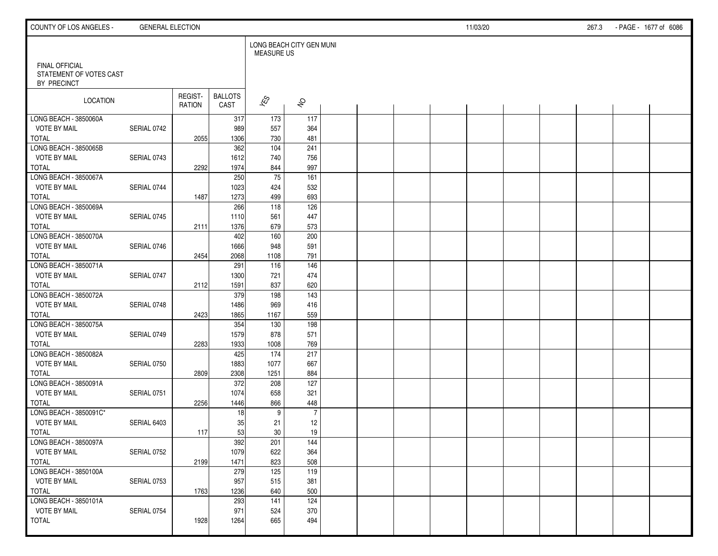| COUNTY OF LOS ANGELES -                                         | <b>GENERAL ELECTION</b> |                   |                        |                                               |                     |  |  | 11/03/20 |  | 267.3 | - PAGE - 1677 of 6086 |  |
|-----------------------------------------------------------------|-------------------------|-------------------|------------------------|-----------------------------------------------|---------------------|--|--|----------|--|-------|-----------------------|--|
|                                                                 |                         |                   |                        | LONG BEACH CITY GEN MUNI<br><b>MEASURE US</b> |                     |  |  |          |  |       |                       |  |
| <b>FINAL OFFICIAL</b><br>STATEMENT OF VOTES CAST<br>BY PRECINCT |                         |                   |                        |                                               |                     |  |  |          |  |       |                       |  |
| LOCATION                                                        |                         | REGIST-<br>RATION | <b>BALLOTS</b><br>CAST | $\sqrt{\hat{S}}$                              | $\hat{\mathcal{S}}$ |  |  |          |  |       |                       |  |
| LONG BEACH - 3850060A                                           |                         |                   | 317                    | 173                                           | 117                 |  |  |          |  |       |                       |  |
| <b>VOTE BY MAIL</b>                                             | SERIAL 0742             |                   | 989                    | 557                                           | 364                 |  |  |          |  |       |                       |  |
| <b>TOTAL</b>                                                    |                         | 2055              | 1306                   | 730                                           | 481                 |  |  |          |  |       |                       |  |
| LONG BEACH - 3850065B                                           |                         |                   | 362                    | 104                                           | 241                 |  |  |          |  |       |                       |  |
| <b>VOTE BY MAIL</b>                                             | SERIAL 0743             |                   | 1612                   | 740                                           | 756                 |  |  |          |  |       |                       |  |
| <b>TOTAL</b>                                                    |                         | 2292              | 1974                   | 844                                           | 997                 |  |  |          |  |       |                       |  |
| LONG BEACH - 3850067A                                           |                         |                   | 250                    | $\overline{75}$                               | 161                 |  |  |          |  |       |                       |  |
| <b>VOTE BY MAIL</b>                                             | SERIAL 0744             |                   | 1023                   | 424                                           | 532                 |  |  |          |  |       |                       |  |
| <b>TOTAL</b>                                                    |                         | 1487              | 1273                   | 499                                           | 693                 |  |  |          |  |       |                       |  |
| LONG BEACH - 3850069A                                           |                         |                   | 266                    | $\frac{118}{118}$                             | 126                 |  |  |          |  |       |                       |  |
| <b>VOTE BY MAIL</b>                                             | SERIAL 0745             |                   | 1110                   | 561                                           | 447                 |  |  |          |  |       |                       |  |
| TOTAL                                                           |                         | 2111              | 1376                   | 679                                           | 573                 |  |  |          |  |       |                       |  |
| LONG BEACH - 3850070A                                           |                         |                   | 402                    | 160                                           | 200                 |  |  |          |  |       |                       |  |
| <b>VOTE BY MAIL</b>                                             | SERIAL 0746             |                   | 1666                   | 948                                           | 591                 |  |  |          |  |       |                       |  |
| <b>TOTAL</b>                                                    |                         | 2454              | 2068                   | 1108                                          | 791                 |  |  |          |  |       |                       |  |
| LONG BEACH - 3850071A                                           |                         |                   | 291                    | 116                                           | 146                 |  |  |          |  |       |                       |  |
| <b>VOTE BY MAIL</b>                                             | SERIAL 0747             |                   | 1300                   | 721                                           | 474                 |  |  |          |  |       |                       |  |
| <b>TOTAL</b>                                                    |                         | 2112              | 1591                   | 837                                           | 620                 |  |  |          |  |       |                       |  |
| LONG BEACH - 3850072A                                           |                         |                   | 379                    | 198                                           | 143                 |  |  |          |  |       |                       |  |
| <b>VOTE BY MAIL</b>                                             | SERIAL 0748             |                   | 1486                   | 969                                           | 416                 |  |  |          |  |       |                       |  |
| <b>TOTAL</b>                                                    |                         | 2423              | 1865                   | 1167                                          | 559                 |  |  |          |  |       |                       |  |
| LONG BEACH - 3850075A                                           |                         |                   | 354                    | 130                                           | 198                 |  |  |          |  |       |                       |  |
| <b>VOTE BY MAIL</b>                                             | SERIAL 0749             |                   | 1579                   | 878                                           | 571                 |  |  |          |  |       |                       |  |
| <b>TOTAL</b>                                                    |                         | 2283              | 1933                   | 1008                                          | 769                 |  |  |          |  |       |                       |  |
| LONG BEACH - 3850082A                                           |                         |                   | 425                    | 174                                           | 217                 |  |  |          |  |       |                       |  |
| <b>VOTE BY MAIL</b>                                             | SERIAL 0750             |                   | 1883                   | 1077                                          | 667                 |  |  |          |  |       |                       |  |
| <b>TOTAL</b>                                                    |                         | 2809              | 2308                   | 1251                                          | 884                 |  |  |          |  |       |                       |  |
| LONG BEACH - 3850091A                                           |                         |                   | 372                    | 208                                           | 127                 |  |  |          |  |       |                       |  |
| <b>VOTE BY MAIL</b>                                             | SERIAL 0751             |                   | 1074                   | 658                                           | 321                 |  |  |          |  |       |                       |  |
| <b>TOTAL</b>                                                    |                         | 2256              | 1446                   | 866                                           | 448                 |  |  |          |  |       |                       |  |
| LONG BEACH - 3850091C*                                          |                         |                   | 18                     | 9                                             | $\overline{7}$      |  |  |          |  |       |                       |  |
| <b>VOTE BY MAIL</b>                                             | SERIAL 6403             |                   | 35                     | 21                                            | 12                  |  |  |          |  |       |                       |  |
| <b>TOTAL</b>                                                    |                         | 117               | 53                     | 30                                            | 19                  |  |  |          |  |       |                       |  |
| LONG BEACH - 3850097A                                           |                         |                   | 392                    | 201                                           | 144                 |  |  |          |  |       |                       |  |
| <b>VOTE BY MAIL</b>                                             | SERIAL 0752             |                   | 1079                   | 622                                           | 364                 |  |  |          |  |       |                       |  |
| TOTAL                                                           |                         | 2199              | 1471                   | 823                                           | 508                 |  |  |          |  |       |                       |  |
| LONG BEACH - 3850100A                                           |                         |                   | 279                    | 125                                           | 119                 |  |  |          |  |       |                       |  |
| <b>VOTE BY MAIL</b>                                             | SERIAL 0753             |                   | 957                    | 515                                           | 381                 |  |  |          |  |       |                       |  |
| TOTAL                                                           |                         | 1763              | 1236                   | 640                                           | 500                 |  |  |          |  |       |                       |  |
| LONG BEACH - 3850101A                                           |                         |                   | 293                    | 141                                           | 124                 |  |  |          |  |       |                       |  |
| <b>VOTE BY MAIL</b>                                             | SERIAL 0754             |                   | 971                    | 524                                           | 370                 |  |  |          |  |       |                       |  |
| <b>TOTAL</b>                                                    |                         | 1928              | 1264                   | 665                                           | 494                 |  |  |          |  |       |                       |  |
|                                                                 |                         |                   |                        |                                               |                     |  |  |          |  |       |                       |  |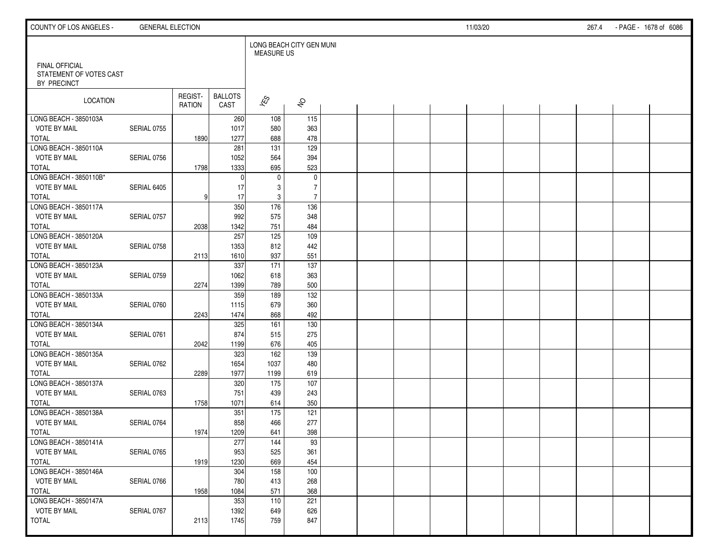| COUNTY OF LOS ANGELES -                                         | <b>GENERAL ELECTION</b> |                   |                        |                                               |                     |  |  | 11/03/20 |  | 267.4 | - PAGE - 1678 of 6086 |  |
|-----------------------------------------------------------------|-------------------------|-------------------|------------------------|-----------------------------------------------|---------------------|--|--|----------|--|-------|-----------------------|--|
|                                                                 |                         |                   |                        | LONG BEACH CITY GEN MUNI<br><b>MEASURE US</b> |                     |  |  |          |  |       |                       |  |
| <b>FINAL OFFICIAL</b><br>STATEMENT OF VOTES CAST<br>BY PRECINCT |                         |                   |                        |                                               |                     |  |  |          |  |       |                       |  |
| LOCATION                                                        |                         | REGIST-<br>RATION | <b>BALLOTS</b><br>CAST | $\hat{\mathcal{K}}$                           | $\hat{\mathcal{S}}$ |  |  |          |  |       |                       |  |
| LONG BEACH - 3850103A                                           |                         |                   | 260                    | 108                                           | 115                 |  |  |          |  |       |                       |  |
| <b>VOTE BY MAIL</b>                                             | SERIAL 0755             |                   | 1017                   | 580                                           | 363                 |  |  |          |  |       |                       |  |
| <b>TOTAL</b>                                                    |                         | 1890              | 1277                   | 688                                           | 478                 |  |  |          |  |       |                       |  |
| LONG BEACH - 3850110A                                           |                         |                   | 281                    | 131                                           | 129                 |  |  |          |  |       |                       |  |
| <b>VOTE BY MAIL</b>                                             | SERIAL 0756             |                   | 1052                   | 564                                           | 394                 |  |  |          |  |       |                       |  |
| <b>TOTAL</b>                                                    |                         | 1798              | 1333                   | 695                                           | 523                 |  |  |          |  |       |                       |  |
| LONG BEACH - 3850110B*                                          |                         |                   | $\mathbf{0}$           | $\mathbf 0$                                   | $\pmb{0}$           |  |  |          |  |       |                       |  |
| <b>VOTE BY MAIL</b>                                             | SERIAL 6405             |                   | 17                     | 3                                             | $\overline{7}$      |  |  |          |  |       |                       |  |
| <b>TOTAL</b>                                                    |                         | 9                 | 17                     | $\mathbf{3}$                                  | $\overline{7}$      |  |  |          |  |       |                       |  |
| LONG BEACH - 3850117A                                           |                         |                   | 350                    | 176                                           | 136                 |  |  |          |  |       |                       |  |
| <b>VOTE BY MAIL</b>                                             | SERIAL 0757             |                   | 992                    | 575                                           | 348                 |  |  |          |  |       |                       |  |
| TOTAL                                                           |                         | 2038              | 1342                   | 751                                           | 484                 |  |  |          |  |       |                       |  |
| LONG BEACH - 3850120A                                           |                         |                   | 257                    | 125                                           | 109                 |  |  |          |  |       |                       |  |
| <b>VOTE BY MAIL</b>                                             | SERIAL 0758             |                   | 1353                   | 812                                           | 442                 |  |  |          |  |       |                       |  |
| <b>TOTAL</b>                                                    |                         | 2113              | 1610                   | 937                                           | 551                 |  |  |          |  |       |                       |  |
| LONG BEACH - 3850123A                                           |                         |                   | 337                    | $\frac{1}{171}$                               | 137                 |  |  |          |  |       |                       |  |
| <b>VOTE BY MAIL</b>                                             | SERIAL 0759             |                   | 1062                   | 618                                           | 363                 |  |  |          |  |       |                       |  |
| <b>TOTAL</b>                                                    |                         | 2274              | 1399                   | 789                                           | 500                 |  |  |          |  |       |                       |  |
| LONG BEACH - 3850133A                                           |                         |                   | 359                    | 189                                           | 132                 |  |  |          |  |       |                       |  |
| <b>VOTE BY MAIL</b>                                             | SERIAL 0760             |                   | 1115                   | 679                                           | 360                 |  |  |          |  |       |                       |  |
| <b>TOTAL</b>                                                    |                         | 2243              | 1474                   | 868                                           | 492                 |  |  |          |  |       |                       |  |
| LONG BEACH - 3850134A                                           |                         |                   | 325                    | 161                                           | 130                 |  |  |          |  |       |                       |  |
| <b>VOTE BY MAIL</b>                                             | SERIAL 0761             |                   | 874                    | 515                                           | 275                 |  |  |          |  |       |                       |  |
| <b>TOTAL</b>                                                    |                         | 2042              | 1199                   | 676                                           | 405                 |  |  |          |  |       |                       |  |
| LONG BEACH - 3850135A                                           |                         |                   | 323                    | $\frac{162}{ }$                               | 139                 |  |  |          |  |       |                       |  |
| <b>VOTE BY MAIL</b>                                             | SERIAL 0762             |                   | 1654                   | 1037                                          | 480                 |  |  |          |  |       |                       |  |
| <b>TOTAL</b>                                                    |                         | 2289              | 1977                   | 1199                                          | 619                 |  |  |          |  |       |                       |  |
| LONG BEACH - 3850137A                                           |                         |                   | 320                    | 175                                           | 107                 |  |  |          |  |       |                       |  |
| <b>VOTE BY MAIL</b>                                             | SERIAL 0763             |                   | 751                    | 439                                           | 243                 |  |  |          |  |       |                       |  |
| <b>TOTAL</b>                                                    |                         | 1758              | 1071                   | 614                                           | 350                 |  |  |          |  |       |                       |  |
| LONG BEACH - 3850138A                                           |                         |                   | 351                    | 175                                           | 121                 |  |  |          |  |       |                       |  |
| <b>VOTE BY MAIL</b>                                             | SERIAL 0764             |                   | 858                    | 466                                           | 277                 |  |  |          |  |       |                       |  |
| <b>TOTAL</b>                                                    |                         | 1974              | 1209                   | 641                                           | 398                 |  |  |          |  |       |                       |  |
| LONG BEACH - 3850141A                                           |                         |                   | 277                    | 144                                           | 93                  |  |  |          |  |       |                       |  |
| <b>VOTE BY MAIL</b>                                             | SERIAL 0765             |                   | 953                    | 525                                           | 361                 |  |  |          |  |       |                       |  |
| TOTAL                                                           |                         | 1919              | 1230                   | 669                                           | 454                 |  |  |          |  |       |                       |  |
| LONG BEACH - 3850146A                                           |                         |                   | 304                    | 158                                           | 100                 |  |  |          |  |       |                       |  |
| <b>VOTE BY MAIL</b>                                             | SERIAL 0766             |                   | 780                    | 413                                           | 268                 |  |  |          |  |       |                       |  |
| TOTAL                                                           |                         | 1958              | 1084                   | 571                                           | 368                 |  |  |          |  |       |                       |  |
| LONG BEACH - 3850147A                                           |                         |                   | 353                    | 110                                           | 221                 |  |  |          |  |       |                       |  |
| <b>VOTE BY MAIL</b>                                             | SERIAL 0767             |                   | 1392                   | 649                                           | 626                 |  |  |          |  |       |                       |  |
| <b>TOTAL</b>                                                    |                         | 2113              | 1745                   | 759                                           | 847                 |  |  |          |  |       |                       |  |
|                                                                 |                         |                   |                        |                                               |                     |  |  |          |  |       |                       |  |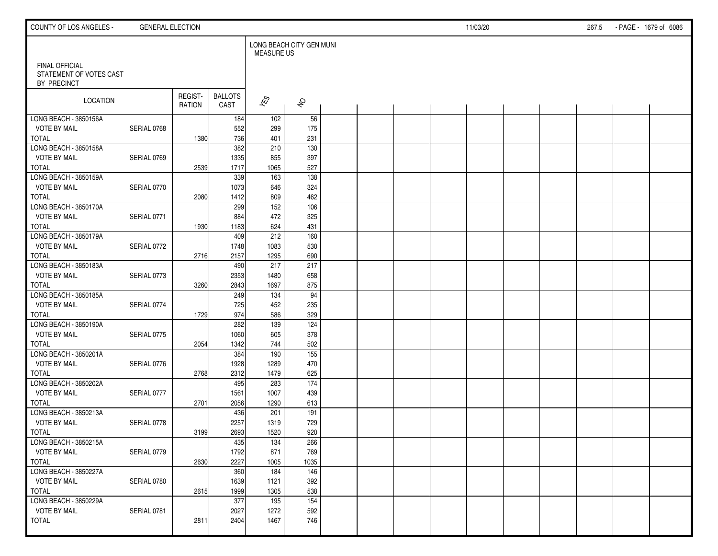| COUNTY OF LOS ANGELES -                                         | <b>GENERAL ELECTION</b> |                   |                        |                                               |                     |  |  | 11/03/20 |  | 267.5 | - PAGE - 1679 of 6086 |  |
|-----------------------------------------------------------------|-------------------------|-------------------|------------------------|-----------------------------------------------|---------------------|--|--|----------|--|-------|-----------------------|--|
|                                                                 |                         |                   |                        | LONG BEACH CITY GEN MUNI<br><b>MEASURE US</b> |                     |  |  |          |  |       |                       |  |
| <b>FINAL OFFICIAL</b><br>STATEMENT OF VOTES CAST<br>BY PRECINCT |                         |                   |                        |                                               |                     |  |  |          |  |       |                       |  |
| LOCATION                                                        |                         | REGIST-<br>RATION | <b>BALLOTS</b><br>CAST | $\hat{\mathcal{K}}$                           | $\hat{\mathcal{S}}$ |  |  |          |  |       |                       |  |
| LONG BEACH - 3850156A                                           |                         |                   | 184                    | 102                                           | 56                  |  |  |          |  |       |                       |  |
| <b>VOTE BY MAIL</b>                                             | SERIAL 0768             |                   | 552                    | 299                                           | 175                 |  |  |          |  |       |                       |  |
| <b>TOTAL</b>                                                    |                         | 1380              | 736                    | 401                                           | 231                 |  |  |          |  |       |                       |  |
| LONG BEACH - 3850158A                                           |                         |                   | 382                    | 210                                           | 130                 |  |  |          |  |       |                       |  |
| <b>VOTE BY MAIL</b><br><b>TOTAL</b>                             | SERIAL 0769             |                   | 1335<br>1717           | 855<br>1065                                   | 397<br>527          |  |  |          |  |       |                       |  |
| LONG BEACH - 3850159A                                           |                         | 2539              | 339                    | 163                                           | 138                 |  |  |          |  |       |                       |  |
| <b>VOTE BY MAIL</b>                                             | SERIAL 0770             |                   | 1073                   | 646                                           | 324                 |  |  |          |  |       |                       |  |
| <b>TOTAL</b>                                                    |                         | 2080              | 1412                   | 809                                           | 462                 |  |  |          |  |       |                       |  |
| LONG BEACH - 3850170A                                           |                         |                   | 299                    | $\overline{152}$                              | 106                 |  |  |          |  |       |                       |  |
| <b>VOTE BY MAIL</b>                                             | SERIAL 0771             |                   | 884                    | 472                                           | 325                 |  |  |          |  |       |                       |  |
| TOTAL                                                           |                         | 1930              | 1183                   | 624                                           | 431                 |  |  |          |  |       |                       |  |
| LONG BEACH - 3850179A                                           |                         |                   | 409                    | 212                                           | 160                 |  |  |          |  |       |                       |  |
| <b>VOTE BY MAIL</b>                                             | SERIAL 0772             |                   | 1748                   | 1083                                          | 530                 |  |  |          |  |       |                       |  |
| <b>TOTAL</b>                                                    |                         | 2716              | 2157                   | 1295                                          | 690                 |  |  |          |  |       |                       |  |
| LONG BEACH - 3850183A                                           |                         |                   | 490                    | 217                                           | 217                 |  |  |          |  |       |                       |  |
| <b>VOTE BY MAIL</b>                                             | SERIAL 0773             |                   | 2353                   | 1480                                          | 658                 |  |  |          |  |       |                       |  |
| <b>TOTAL</b>                                                    |                         | 3260              | 2843                   | 1697                                          | 875                 |  |  |          |  |       |                       |  |
| LONG BEACH - 3850185A                                           |                         |                   | 249                    | 134                                           | 94                  |  |  |          |  |       |                       |  |
| <b>VOTE BY MAIL</b>                                             | SERIAL 0774             |                   | 725                    | 452                                           | 235                 |  |  |          |  |       |                       |  |
| <b>TOTAL</b>                                                    |                         | 1729              | 974                    | 586                                           | 329                 |  |  |          |  |       |                       |  |
| LONG BEACH - 3850190A                                           |                         |                   | 282                    | 139                                           | 124                 |  |  |          |  |       |                       |  |
| <b>VOTE BY MAIL</b>                                             | SERIAL 0775             |                   | 1060                   | 605                                           | 378                 |  |  |          |  |       |                       |  |
| <b>TOTAL</b>                                                    |                         | 2054              | 1342                   | 744                                           | 502                 |  |  |          |  |       |                       |  |
| LONG BEACH - 3850201A                                           |                         |                   | 384                    | 190                                           | 155                 |  |  |          |  |       |                       |  |
| <b>VOTE BY MAIL</b>                                             | SERIAL 0776             |                   | 1928                   | 1289                                          | 470                 |  |  |          |  |       |                       |  |
| <b>TOTAL</b>                                                    |                         | 2768              | 2312                   | 1479                                          | 625                 |  |  |          |  |       |                       |  |
| LONG BEACH - 3850202A                                           |                         |                   | 495                    | 283                                           | $\frac{174}{ }$     |  |  |          |  |       |                       |  |
| <b>VOTE BY MAIL</b>                                             | SERIAL 0777             |                   | 1561                   | 1007                                          | 439                 |  |  |          |  |       |                       |  |
| <b>TOTAL</b>                                                    |                         | 2701              | 2056                   | 1290                                          | 613                 |  |  |          |  |       |                       |  |
| LONG BEACH - 3850213A                                           |                         |                   | 436                    | 201                                           | 191                 |  |  |          |  |       |                       |  |
| <b>VOTE BY MAIL</b>                                             | SERIAL 0778             |                   | 2257                   | 1319                                          | 729                 |  |  |          |  |       |                       |  |
| <b>TOTAL</b>                                                    |                         | 3199              | 2693                   | 1520                                          | 920                 |  |  |          |  |       |                       |  |
| LONG BEACH - 3850215A                                           |                         |                   | 435                    | 134                                           | 266                 |  |  |          |  |       |                       |  |
| <b>VOTE BY MAIL</b>                                             | SERIAL 0779             |                   | 1792                   | 871                                           | 769                 |  |  |          |  |       |                       |  |
| TOTAL<br>LONG BEACH - 3850227A                                  |                         | 2630              | 2227                   | 1005                                          | 1035                |  |  |          |  |       |                       |  |
| <b>VOTE BY MAIL</b>                                             |                         |                   | 360<br>1639            | 184<br>1121                                   | 146<br>392          |  |  |          |  |       |                       |  |
| TOTAL                                                           | SERIAL 0780             | 2615              | 1999                   | 1305                                          | 538                 |  |  |          |  |       |                       |  |
| LONG BEACH - 3850229A                                           |                         |                   | 377                    | 195                                           | 154                 |  |  |          |  |       |                       |  |
| <b>VOTE BY MAIL</b>                                             | SERIAL 0781             |                   | 2027                   | 1272                                          | 592                 |  |  |          |  |       |                       |  |
| TOTAL                                                           |                         | 2811              | 2404                   | 1467                                          | 746                 |  |  |          |  |       |                       |  |
|                                                                 |                         |                   |                        |                                               |                     |  |  |          |  |       |                       |  |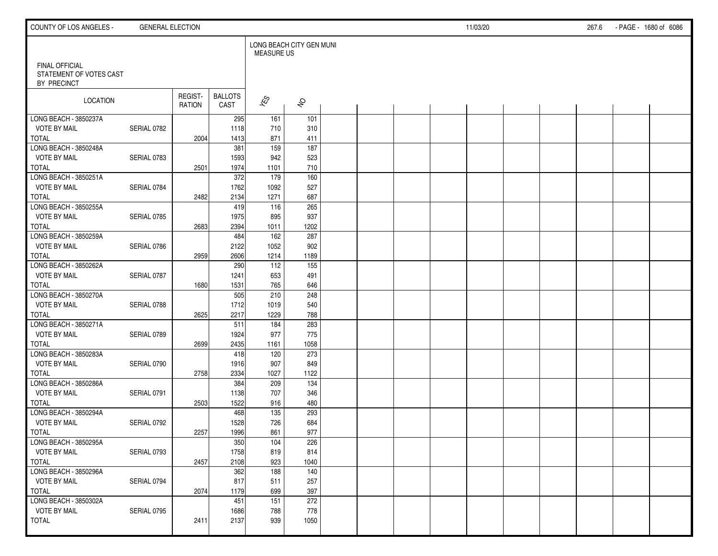| COUNTY OF LOS ANGELES -                                         | <b>GENERAL ELECTION</b> |                   |                        |                                               |                     |  |  | 11/03/20 |  | 267.6 | - PAGE - 1680 of 6086 |  |
|-----------------------------------------------------------------|-------------------------|-------------------|------------------------|-----------------------------------------------|---------------------|--|--|----------|--|-------|-----------------------|--|
|                                                                 |                         |                   |                        | LONG BEACH CITY GEN MUNI<br><b>MEASURE US</b> |                     |  |  |          |  |       |                       |  |
| <b>FINAL OFFICIAL</b><br>STATEMENT OF VOTES CAST<br>BY PRECINCT |                         |                   |                        |                                               |                     |  |  |          |  |       |                       |  |
| LOCATION                                                        |                         | REGIST-<br>RATION | <b>BALLOTS</b><br>CAST | $\sqrt{\hat{S}}$                              | $\hat{\mathcal{S}}$ |  |  |          |  |       |                       |  |
| LONG BEACH - 3850237A                                           |                         |                   | 295                    | 161                                           | 101                 |  |  |          |  |       |                       |  |
| <b>VOTE BY MAIL</b>                                             | SERIAL 0782             |                   | 1118                   | 710                                           | 310                 |  |  |          |  |       |                       |  |
| <b>TOTAL</b>                                                    |                         | 2004              | 1413                   | 871                                           | 411                 |  |  |          |  |       |                       |  |
| LONG BEACH - 3850248A                                           |                         |                   | 381                    | 159                                           | 187                 |  |  |          |  |       |                       |  |
| <b>VOTE BY MAIL</b>                                             | SERIAL 0783             |                   | 1593                   | 942                                           | 523                 |  |  |          |  |       |                       |  |
| <b>TOTAL</b>                                                    |                         | 2501              | 1974                   | 1101                                          | 710                 |  |  |          |  |       |                       |  |
| LONG BEACH - 3850251A                                           |                         |                   | 372                    | 179                                           | 160                 |  |  |          |  |       |                       |  |
| <b>VOTE BY MAIL</b>                                             | SERIAL 0784             |                   | 1762                   | 1092                                          | 527                 |  |  |          |  |       |                       |  |
| <b>TOTAL</b>                                                    |                         | 2482              | 2134                   | 1271                                          | 687                 |  |  |          |  |       |                       |  |
| LONG BEACH - 3850255A                                           |                         |                   | 419                    | 116                                           | 265                 |  |  |          |  |       |                       |  |
| <b>VOTE BY MAIL</b>                                             | SERIAL 0785             |                   | 1975                   | 895                                           | 937                 |  |  |          |  |       |                       |  |
| TOTAL                                                           |                         | 2683              | 2394                   | 1011                                          | 1202                |  |  |          |  |       |                       |  |
| LONG BEACH - 3850259A                                           |                         |                   | 484                    | 162                                           | 287                 |  |  |          |  |       |                       |  |
| <b>VOTE BY MAIL</b>                                             | SERIAL 0786             |                   | 2122                   | 1052                                          | 902                 |  |  |          |  |       |                       |  |
| <b>TOTAL</b>                                                    |                         | 2959              | 2606                   | 1214                                          | 1189                |  |  |          |  |       |                       |  |
| LONG BEACH - 3850262A                                           |                         |                   | 290                    | 112                                           | 155                 |  |  |          |  |       |                       |  |
| <b>VOTE BY MAIL</b>                                             | SERIAL 0787             |                   | 1241                   | 653                                           | 491                 |  |  |          |  |       |                       |  |
| <b>TOTAL</b>                                                    |                         | 1680              | 1531                   | 765                                           | 646                 |  |  |          |  |       |                       |  |
| LONG BEACH - 3850270A                                           |                         |                   | 505                    | 210                                           | 248                 |  |  |          |  |       |                       |  |
| <b>VOTE BY MAIL</b>                                             | SERIAL 0788             |                   | 1712                   | 1019                                          | 540                 |  |  |          |  |       |                       |  |
| <b>TOTAL</b>                                                    |                         | 2625              | 2217                   | 1229                                          | 788                 |  |  |          |  |       |                       |  |
| LONG BEACH - 3850271A                                           |                         |                   | 511                    | 184                                           | 283                 |  |  |          |  |       |                       |  |
| <b>VOTE BY MAIL</b>                                             | SERIAL 0789             |                   | 1924                   | 977                                           | 775                 |  |  |          |  |       |                       |  |
| <b>TOTAL</b>                                                    |                         | 2699              | 2435                   | 1161                                          | 1058                |  |  |          |  |       |                       |  |
| LONG BEACH - 3850283A                                           |                         |                   | 418                    | 120                                           | 273                 |  |  |          |  |       |                       |  |
| <b>VOTE BY MAIL</b>                                             | SERIAL 0790             |                   | 1916                   | 907                                           | 849                 |  |  |          |  |       |                       |  |
| <b>TOTAL</b>                                                    |                         | 2758              | 2334                   | 1027                                          | 1122                |  |  |          |  |       |                       |  |
| LONG BEACH - 3850286A                                           |                         |                   | 384                    | 209                                           | 134                 |  |  |          |  |       |                       |  |
| <b>VOTE BY MAIL</b>                                             | SERIAL 0791             |                   | 1138                   | 707                                           | 346                 |  |  |          |  |       |                       |  |
| <b>TOTAL</b>                                                    |                         | 2503              | 1522                   | 916                                           | 480                 |  |  |          |  |       |                       |  |
| LONG BEACH - 3850294A                                           |                         |                   | 468                    | 135                                           | 293                 |  |  |          |  |       |                       |  |
| <b>VOTE BY MAIL</b>                                             | SERIAL 0792             |                   | 1528                   | 726                                           | 684                 |  |  |          |  |       |                       |  |
| <b>TOTAL</b>                                                    |                         | 2257              | 1996                   | 861                                           | 977                 |  |  |          |  |       |                       |  |
| LONG BEACH - 3850295A                                           |                         |                   | 350                    | 104                                           | 226                 |  |  |          |  |       |                       |  |
| <b>VOTE BY MAIL</b>                                             | SERIAL 0793             |                   | 1758                   | 819                                           | 814                 |  |  |          |  |       |                       |  |
| TOTAL                                                           |                         | 2457              | 2108                   | 923                                           | 1040                |  |  |          |  |       |                       |  |
| LONG BEACH - 3850296A                                           |                         |                   | 362                    | 188                                           | 140                 |  |  |          |  |       |                       |  |
| <b>VOTE BY MAIL</b>                                             | SERIAL 0794             |                   | 817                    | 511                                           | 257                 |  |  |          |  |       |                       |  |
| TOTAL                                                           |                         | 2074              | 1179                   | 699                                           | 397                 |  |  |          |  |       |                       |  |
| LONG BEACH - 3850302A                                           |                         |                   | 451                    | $\overline{151}$                              | 272                 |  |  |          |  |       |                       |  |
| <b>VOTE BY MAIL</b>                                             | SERIAL 0795             |                   | 1686                   | 788                                           | 778                 |  |  |          |  |       |                       |  |
| <b>TOTAL</b>                                                    |                         | 2411              | 2137                   | 939                                           | 1050                |  |  |          |  |       |                       |  |
|                                                                 |                         |                   |                        |                                               |                     |  |  |          |  |       |                       |  |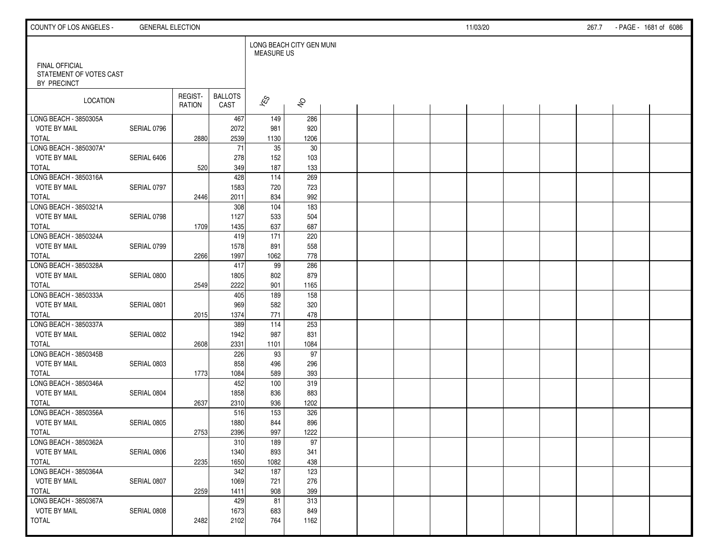| COUNTY OF LOS ANGELES -                                         | <b>GENERAL ELECTION</b> |                   |                        |                                               |                     |  |  | 11/03/20 |  | 267.7 | - PAGE - 1681 of 6086 |  |
|-----------------------------------------------------------------|-------------------------|-------------------|------------------------|-----------------------------------------------|---------------------|--|--|----------|--|-------|-----------------------|--|
|                                                                 |                         |                   |                        | LONG BEACH CITY GEN MUNI<br><b>MEASURE US</b> |                     |  |  |          |  |       |                       |  |
| <b>FINAL OFFICIAL</b><br>STATEMENT OF VOTES CAST<br>BY PRECINCT |                         |                   |                        |                                               |                     |  |  |          |  |       |                       |  |
| LOCATION                                                        |                         | REGIST-<br>RATION | <b>BALLOTS</b><br>CAST | $\overline{\mathcal{K}}$ S                    | $\hat{\mathcal{S}}$ |  |  |          |  |       |                       |  |
| LONG BEACH - 3850305A                                           |                         |                   | 467                    | 149                                           | 286                 |  |  |          |  |       |                       |  |
| <b>VOTE BY MAIL</b>                                             | SERIAL 0796             |                   | 2072                   | 981                                           | 920                 |  |  |          |  |       |                       |  |
| <b>TOTAL</b>                                                    |                         | 2880              | 2539                   | 1130                                          | 1206                |  |  |          |  |       |                       |  |
| LONG BEACH - 3850307A*                                          |                         |                   | 71                     | 35                                            | 30                  |  |  |          |  |       |                       |  |
| <b>VOTE BY MAIL</b><br><b>TOTAL</b>                             | SERIAL 6406             |                   | 278<br>349             | 152<br>187                                    | 103<br>133          |  |  |          |  |       |                       |  |
| LONG BEACH - 3850316A                                           |                         | 520               | 428                    | 114                                           | 269                 |  |  |          |  |       |                       |  |
| <b>VOTE BY MAIL</b>                                             | SERIAL 0797             |                   | 1583                   | 720                                           | 723                 |  |  |          |  |       |                       |  |
| <b>TOTAL</b>                                                    |                         | 2446              | 2011                   | 834                                           | 992                 |  |  |          |  |       |                       |  |
| LONG BEACH - 3850321A                                           |                         |                   | 308                    | 104                                           | 183                 |  |  |          |  |       |                       |  |
| <b>VOTE BY MAIL</b>                                             | SERIAL 0798             |                   | 1127                   | 533                                           | 504                 |  |  |          |  |       |                       |  |
| TOTAL                                                           |                         | 1709              | 1435                   | 637                                           | 687                 |  |  |          |  |       |                       |  |
| LONG BEACH - 3850324A                                           |                         |                   | 419                    | 171                                           | 220                 |  |  |          |  |       |                       |  |
| <b>VOTE BY MAIL</b>                                             | SERIAL 0799             |                   | 1578                   | 891                                           | 558                 |  |  |          |  |       |                       |  |
| <b>TOTAL</b>                                                    |                         | 2266              | 1997                   | 1062                                          | 778                 |  |  |          |  |       |                       |  |
| LONG BEACH - 3850328A                                           |                         |                   | 417                    | 99                                            | 286                 |  |  |          |  |       |                       |  |
| <b>VOTE BY MAIL</b>                                             | SERIAL 0800             |                   | 1805                   | 802                                           | 879                 |  |  |          |  |       |                       |  |
| <b>TOTAL</b>                                                    |                         | 2549              | 2222                   | 901                                           | 1165                |  |  |          |  |       |                       |  |
| LONG BEACH - 3850333A                                           |                         |                   | 405                    | 189                                           | 158                 |  |  |          |  |       |                       |  |
| <b>VOTE BY MAIL</b>                                             | SERIAL 0801             |                   | 969                    | 582                                           | 320                 |  |  |          |  |       |                       |  |
| <b>TOTAL</b>                                                    |                         | 2015              | 1374                   | 771                                           | 478                 |  |  |          |  |       |                       |  |
| LONG BEACH - 3850337A                                           |                         |                   | 389                    | 114                                           | 253                 |  |  |          |  |       |                       |  |
| <b>VOTE BY MAIL</b>                                             | SERIAL 0802             |                   | 1942                   | 987                                           | 831                 |  |  |          |  |       |                       |  |
| <b>TOTAL</b>                                                    |                         | 2608              | 2331                   | 1101                                          | 1084                |  |  |          |  |       |                       |  |
| LONG BEACH - 3850345B                                           |                         |                   | 226                    | 93                                            | 97                  |  |  |          |  |       |                       |  |
| <b>VOTE BY MAIL</b>                                             | SERIAL 0803             |                   | 858                    | 496                                           | 296                 |  |  |          |  |       |                       |  |
| <b>TOTAL</b>                                                    |                         | 1773              | 1084                   | 589                                           | 393                 |  |  |          |  |       |                       |  |
| LONG BEACH - 3850346A                                           |                         |                   | 452                    | 100                                           | 319                 |  |  |          |  |       |                       |  |
| <b>VOTE BY MAIL</b>                                             | SERIAL 0804             |                   | 1858                   | 836                                           | 883                 |  |  |          |  |       |                       |  |
| <b>TOTAL</b>                                                    |                         | 2637              | 2310                   | 936                                           | 1202                |  |  |          |  |       |                       |  |
| LONG BEACH - 3850356A                                           |                         |                   | 516                    | 153                                           | 326                 |  |  |          |  |       |                       |  |
| <b>VOTE BY MAIL</b>                                             | SERIAL 0805             |                   | 1880                   | 844                                           | 896                 |  |  |          |  |       |                       |  |
| <b>TOTAL</b>                                                    |                         | 2753              | 2396                   | 997                                           | 1222                |  |  |          |  |       |                       |  |
| LONG BEACH - 3850362A                                           |                         |                   | 310                    | 189                                           | 97                  |  |  |          |  |       |                       |  |
| <b>VOTE BY MAIL</b>                                             | SERIAL 0806             |                   | 1340                   | 893                                           | 341                 |  |  |          |  |       |                       |  |
| TOTAL                                                           |                         | 2235              | 1650                   | 1082                                          | 438                 |  |  |          |  |       |                       |  |
| LONG BEACH - 3850364A                                           |                         |                   | 342                    | 187                                           | 123                 |  |  |          |  |       |                       |  |
| <b>VOTE BY MAIL</b>                                             | SERIAL 0807             |                   | 1069                   | 721                                           | 276                 |  |  |          |  |       |                       |  |
| TOTAL<br>LONG BEACH - 3850367A                                  |                         | 2259              | 1411<br>429            | 908<br>81                                     | 399<br>313          |  |  |          |  |       |                       |  |
| <b>VOTE BY MAIL</b>                                             | SERIAL 0808             |                   | 1673                   | 683                                           | 849                 |  |  |          |  |       |                       |  |
| <b>TOTAL</b>                                                    |                         | 2482              | 2102                   | 764                                           | 1162                |  |  |          |  |       |                       |  |
|                                                                 |                         |                   |                        |                                               |                     |  |  |          |  |       |                       |  |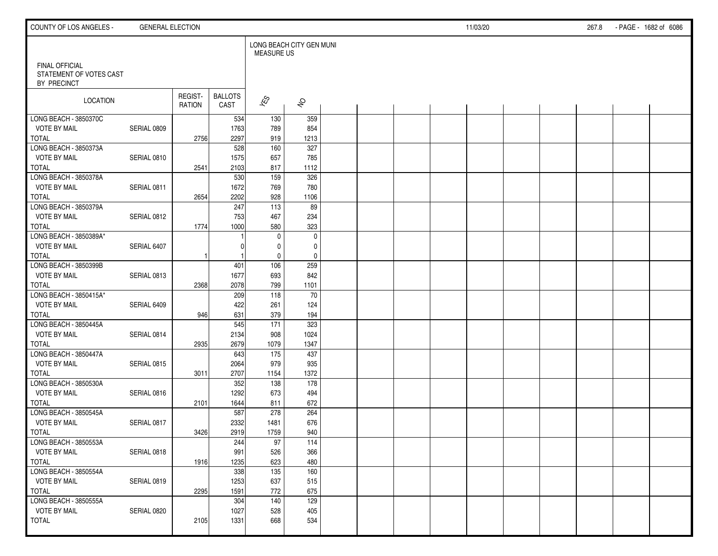| COUNTY OF LOS ANGELES -                                         | <b>GENERAL ELECTION</b> |                          |                        |                                               |                     |  |  | 11/03/20 |  | 267.8 | - PAGE - 1682 of 6086 |  |
|-----------------------------------------------------------------|-------------------------|--------------------------|------------------------|-----------------------------------------------|---------------------|--|--|----------|--|-------|-----------------------|--|
|                                                                 |                         |                          |                        | LONG BEACH CITY GEN MUNI<br><b>MEASURE US</b> |                     |  |  |          |  |       |                       |  |
| <b>FINAL OFFICIAL</b><br>STATEMENT OF VOTES CAST<br>BY PRECINCT |                         |                          |                        |                                               |                     |  |  |          |  |       |                       |  |
| LOCATION                                                        |                         | REGIST-<br><b>RATION</b> | <b>BALLOTS</b><br>CAST | $\sqrt{\hat{S}}$                              | $\hat{\mathcal{S}}$ |  |  |          |  |       |                       |  |
| LONG BEACH - 3850370C                                           |                         |                          | 534                    | 130                                           | 359                 |  |  |          |  |       |                       |  |
| <b>VOTE BY MAIL</b>                                             | SERIAL 0809             |                          | 1763                   | 789                                           | 854                 |  |  |          |  |       |                       |  |
| <b>TOTAL</b>                                                    |                         | 2756                     | 2297                   | 919                                           | 1213                |  |  |          |  |       |                       |  |
| LONG BEACH - 3850373A                                           |                         |                          | 528                    | 160                                           | 327                 |  |  |          |  |       |                       |  |
| <b>VOTE BY MAIL</b>                                             | SERIAL 0810             |                          | 1575                   | 657                                           | 785                 |  |  |          |  |       |                       |  |
| <b>TOTAL</b>                                                    |                         | 2541                     | 2103                   | 817                                           | 1112                |  |  |          |  |       |                       |  |
| LONG BEACH - 3850378A                                           |                         |                          | 530                    | 159                                           | 326                 |  |  |          |  |       |                       |  |
| <b>VOTE BY MAIL</b>                                             | SERIAL 0811             |                          | 1672                   | 769                                           | 780                 |  |  |          |  |       |                       |  |
| <b>TOTAL</b><br>LONG BEACH - 3850379A                           |                         | 2654                     | 2202                   | 928<br>$\frac{113}{113}$                      | 1106<br>89          |  |  |          |  |       |                       |  |
| <b>VOTE BY MAIL</b>                                             | SERIAL 0812             |                          | 247<br>753             | 467                                           | 234                 |  |  |          |  |       |                       |  |
| TOTAL                                                           |                         | 1774                     | 1000                   | 580                                           | 323                 |  |  |          |  |       |                       |  |
| LONG BEACH - 3850389A*                                          |                         |                          |                        | $\mathbf 0$                                   | $\mathbf 0$         |  |  |          |  |       |                       |  |
| <b>VOTE BY MAIL</b>                                             | SERIAL 6407             |                          |                        | $\mathbf 0$                                   |                     |  |  |          |  |       |                       |  |
| <b>TOTAL</b>                                                    |                         |                          |                        | $\mathbf 0$                                   | 0<br>$\pmb{0}$      |  |  |          |  |       |                       |  |
| LONG BEACH - 3850399B                                           |                         |                          | 401                    | 106                                           | 259                 |  |  |          |  |       |                       |  |
| <b>VOTE BY MAIL</b>                                             | SERIAL 0813             |                          | 1677                   | 693                                           | 842                 |  |  |          |  |       |                       |  |
| <b>TOTAL</b>                                                    |                         | 2368                     | 2078                   | 799                                           | 1101                |  |  |          |  |       |                       |  |
| LONG BEACH - 3850415A*                                          |                         |                          | 209                    | 118                                           | 70                  |  |  |          |  |       |                       |  |
| <b>VOTE BY MAIL</b>                                             | SERIAL 6409             |                          | 422                    | 261                                           | 124                 |  |  |          |  |       |                       |  |
| <b>TOTAL</b>                                                    |                         | 946                      | 631                    | 379                                           | 194                 |  |  |          |  |       |                       |  |
| LONG BEACH - 3850445A                                           |                         |                          | 545                    | 171                                           | 323                 |  |  |          |  |       |                       |  |
| <b>VOTE BY MAIL</b>                                             | SERIAL 0814             |                          | 2134                   | 908                                           | 1024                |  |  |          |  |       |                       |  |
| <b>TOTAL</b>                                                    |                         | 2935                     | 2679                   | 1079                                          | 1347                |  |  |          |  |       |                       |  |
| LONG BEACH - 3850447A                                           |                         |                          | 643                    | 175                                           | 437                 |  |  |          |  |       |                       |  |
| <b>VOTE BY MAIL</b>                                             | SERIAL 0815             |                          | 2064                   | 979                                           | 935                 |  |  |          |  |       |                       |  |
| <b>TOTAL</b>                                                    |                         | 3011                     | 2707                   | 1154                                          | 1372                |  |  |          |  |       |                       |  |
| LONG BEACH - 3850530A                                           |                         |                          | 352                    | 138                                           | 178                 |  |  |          |  |       |                       |  |
| <b>VOTE BY MAIL</b>                                             | SERIAL 0816             |                          | 1292                   | 673                                           | 494                 |  |  |          |  |       |                       |  |
| <b>TOTAL</b>                                                    |                         | 2101                     | 1644                   | 811                                           | 672                 |  |  |          |  |       |                       |  |
| LONG BEACH - 3850545A                                           |                         |                          | 587                    | 278                                           | 264                 |  |  |          |  |       |                       |  |
| <b>VOTE BY MAIL</b>                                             | SERIAL 0817             |                          | 2332                   | 1481                                          | 676                 |  |  |          |  |       |                       |  |
| <b>TOTAL</b>                                                    |                         | 3426                     | 2919                   | 1759                                          | 940                 |  |  |          |  |       |                       |  |
| LONG BEACH - 3850553A                                           |                         |                          | 244                    | 97                                            | 114                 |  |  |          |  |       |                       |  |
| <b>VOTE BY MAIL</b>                                             | SERIAL 0818             |                          | 991                    | 526                                           | 366                 |  |  |          |  |       |                       |  |
| TOTAL                                                           |                         | 1916                     | 1235                   | 623                                           | 480                 |  |  |          |  |       |                       |  |
| LONG BEACH - 3850554A                                           |                         |                          | 338                    | 135                                           | 160                 |  |  |          |  |       |                       |  |
| <b>VOTE BY MAIL</b>                                             | SERIAL 0819             |                          | 1253                   | 637                                           | 515                 |  |  |          |  |       |                       |  |
| TOTAL                                                           |                         | 2295                     | 1591                   | 772                                           | 675                 |  |  |          |  |       |                       |  |
| LONG BEACH - 3850555A                                           |                         |                          | 304                    | 140                                           | 129                 |  |  |          |  |       |                       |  |
| <b>VOTE BY MAIL</b>                                             | SERIAL 0820             |                          | 1027                   | 528                                           | 405                 |  |  |          |  |       |                       |  |
| <b>TOTAL</b>                                                    |                         | 2105                     | 1331                   | 668                                           | 534                 |  |  |          |  |       |                       |  |
|                                                                 |                         |                          |                        |                                               |                     |  |  |          |  |       |                       |  |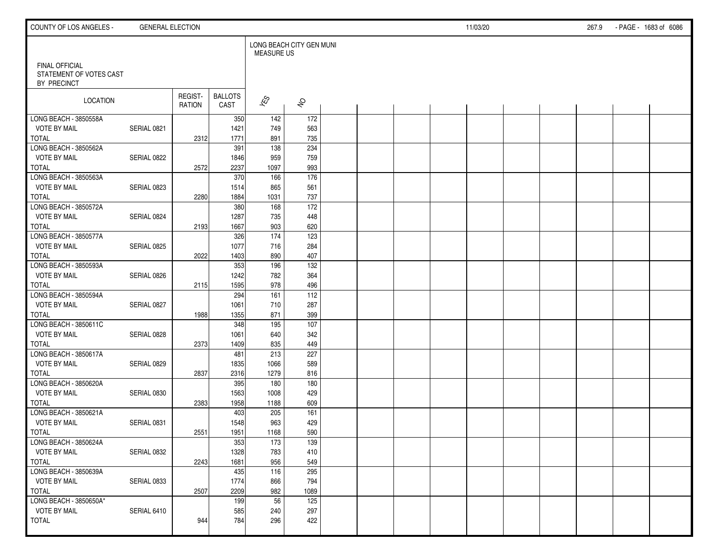| COUNTY OF LOS ANGELES -                                         | <b>GENERAL ELECTION</b> |                   |                        |                                               |                      |  |  | 11/03/20 |  | 267.9 | - PAGE - 1683 of 6086 |  |
|-----------------------------------------------------------------|-------------------------|-------------------|------------------------|-----------------------------------------------|----------------------|--|--|----------|--|-------|-----------------------|--|
|                                                                 |                         |                   |                        | LONG BEACH CITY GEN MUNI<br><b>MEASURE US</b> |                      |  |  |          |  |       |                       |  |
| <b>FINAL OFFICIAL</b><br>STATEMENT OF VOTES CAST<br>BY PRECINCT |                         |                   |                        |                                               |                      |  |  |          |  |       |                       |  |
| LOCATION                                                        |                         | REGIST-<br>RATION | <b>BALLOTS</b><br>CAST | $\overline{\mathcal{K}}$ S                    | $\hat{\mathcal{S}}$  |  |  |          |  |       |                       |  |
| LONG BEACH - 3850558A                                           |                         |                   | 350                    | 142                                           | 172                  |  |  |          |  |       |                       |  |
| <b>VOTE BY MAIL</b>                                             | SERIAL 0821             |                   | 1421                   | 749                                           | 563                  |  |  |          |  |       |                       |  |
| <b>TOTAL</b>                                                    |                         | 2312              | 1771                   | 891                                           | 735                  |  |  |          |  |       |                       |  |
| LONG BEACH - 3850562A                                           |                         |                   | 391                    | 138                                           | 234                  |  |  |          |  |       |                       |  |
| <b>VOTE BY MAIL</b>                                             | SERIAL 0822             |                   | 1846                   | 959                                           | 759                  |  |  |          |  |       |                       |  |
| <b>TOTAL</b>                                                    |                         | 2572              | 2237                   | 1097                                          | 993                  |  |  |          |  |       |                       |  |
| LONG BEACH - 3850563A                                           |                         |                   | 370                    | 166                                           | 176                  |  |  |          |  |       |                       |  |
| <b>VOTE BY MAIL</b>                                             | SERIAL 0823             |                   | 1514                   | 865                                           | 561                  |  |  |          |  |       |                       |  |
| <b>TOTAL</b><br>LONG BEACH - 3850572A                           |                         | 2280              | 1884                   | 1031                                          | 737<br>$\frac{1}{2}$ |  |  |          |  |       |                       |  |
| <b>VOTE BY MAIL</b>                                             | SERIAL 0824             |                   | 380                    | 168<br>735                                    |                      |  |  |          |  |       |                       |  |
| <b>TOTAL</b>                                                    |                         |                   | 1287<br>1667           | 903                                           | 448<br>620           |  |  |          |  |       |                       |  |
| LONG BEACH - 3850577A                                           |                         | 2193              | 326                    | $\frac{174}{ }$                               | 123                  |  |  |          |  |       |                       |  |
| <b>VOTE BY MAIL</b>                                             | SERIAL 0825             |                   | 1077                   | 716                                           | 284                  |  |  |          |  |       |                       |  |
| <b>TOTAL</b>                                                    |                         | 2022              | 1403                   | 890                                           | 407                  |  |  |          |  |       |                       |  |
| LONG BEACH - 3850593A                                           |                         |                   | 353                    | 196                                           | $\frac{132}{ }$      |  |  |          |  |       |                       |  |
| <b>VOTE BY MAIL</b>                                             | SERIAL 0826             |                   | 1242                   | 782                                           | 364                  |  |  |          |  |       |                       |  |
| <b>TOTAL</b>                                                    |                         | 2115              | 1595                   | 978                                           | 496                  |  |  |          |  |       |                       |  |
| LONG BEACH - 3850594A                                           |                         |                   | 294                    | 161                                           | 112                  |  |  |          |  |       |                       |  |
| <b>VOTE BY MAIL</b>                                             | SERIAL 0827             |                   | 1061                   | 710                                           | 287                  |  |  |          |  |       |                       |  |
| <b>TOTAL</b>                                                    |                         | 1988              | 1355                   | 871                                           | 399                  |  |  |          |  |       |                       |  |
| LONG BEACH - 3850611C                                           |                         |                   | 348                    | 195                                           | 107                  |  |  |          |  |       |                       |  |
| <b>VOTE BY MAIL</b>                                             | SERIAL 0828             |                   | 1061                   | 640                                           | 342                  |  |  |          |  |       |                       |  |
| <b>TOTAL</b>                                                    |                         | 2373              | 1409                   | 835                                           | 449                  |  |  |          |  |       |                       |  |
| LONG BEACH - 3850617A                                           |                         |                   | 481                    | 213                                           | 227                  |  |  |          |  |       |                       |  |
| <b>VOTE BY MAIL</b>                                             | SERIAL 0829             |                   | 1835                   | 1066                                          | 589                  |  |  |          |  |       |                       |  |
| <b>TOTAL</b>                                                    |                         | 2837              | 2316                   | 1279                                          | 816                  |  |  |          |  |       |                       |  |
| LONG BEACH - 3850620A                                           |                         |                   | 395                    | 180                                           | 180                  |  |  |          |  |       |                       |  |
| <b>VOTE BY MAIL</b>                                             | SERIAL 0830             |                   | 1563                   | 1008                                          | 429                  |  |  |          |  |       |                       |  |
| <b>TOTAL</b>                                                    |                         | 2383              | 1958                   | 1188                                          | 609                  |  |  |          |  |       |                       |  |
| LONG BEACH - 3850621A                                           |                         |                   | 403                    | 205                                           | 161                  |  |  |          |  |       |                       |  |
| <b>VOTE BY MAIL</b>                                             | SERIAL 0831             |                   | 1548                   | 963                                           | 429                  |  |  |          |  |       |                       |  |
| <b>TOTAL</b>                                                    |                         | 2551              | 1951                   | 1168                                          | 590                  |  |  |          |  |       |                       |  |
| LONG BEACH - 3850624A                                           |                         |                   | 353                    | 173                                           | 139                  |  |  |          |  |       |                       |  |
| <b>VOTE BY MAIL</b>                                             | SERIAL 0832             |                   | 1328                   | 783                                           | 410                  |  |  |          |  |       |                       |  |
| TOTAL                                                           |                         | 2243              | 1681                   | 956                                           | 549                  |  |  |          |  |       |                       |  |
| LONG BEACH - 3850639A                                           |                         |                   | 435                    | 116                                           | 295                  |  |  |          |  |       |                       |  |
| <b>VOTE BY MAIL</b>                                             | SERIAL 0833             |                   | 1774                   | 866                                           | 794                  |  |  |          |  |       |                       |  |
| <b>TOTAL</b>                                                    |                         | 2507              | 2209                   | 982                                           | 1089                 |  |  |          |  |       |                       |  |
| LONG BEACH - 3850650A*                                          |                         |                   | 199                    | 56                                            | 125                  |  |  |          |  |       |                       |  |
| <b>VOTE BY MAIL</b>                                             | SERIAL 6410             |                   | 585                    | 240                                           | 297                  |  |  |          |  |       |                       |  |
| <b>TOTAL</b>                                                    |                         | 944               | 784                    | 296                                           | 422                  |  |  |          |  |       |                       |  |
|                                                                 |                         |                   |                        |                                               |                      |  |  |          |  |       |                       |  |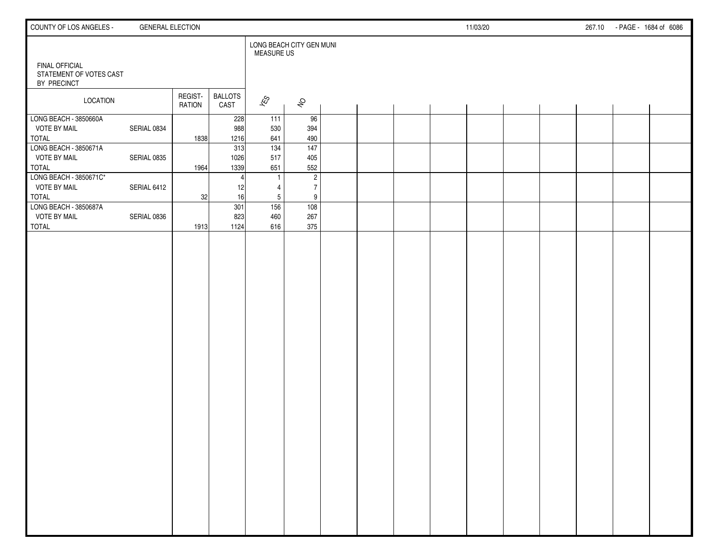| COUNTY OF LOS ANGELES -                                         | <b>GENERAL ELECTION</b> |                          |                        |                   |                          |  |  | 11/03/20 |  |  | 267.10 - PAGE - 1684 of 6086 |
|-----------------------------------------------------------------|-------------------------|--------------------------|------------------------|-------------------|--------------------------|--|--|----------|--|--|------------------------------|
|                                                                 |                         |                          |                        | <b>MEASURE US</b> | LONG BEACH CITY GEN MUNI |  |  |          |  |  |                              |
| <b>FINAL OFFICIAL</b><br>STATEMENT OF VOTES CAST<br>BY PRECINCT |                         |                          |                        |                   |                          |  |  |          |  |  |                              |
| LOCATION                                                        |                         | REGIST-<br><b>RATION</b> | <b>BALLOTS</b><br>CAST | $\sqrt{\hat{S}}$  | $\hat{\mathcal{S}}$      |  |  |          |  |  |                              |
| LONG BEACH - 3850660A                                           |                         |                          | 228                    | 111               | 96                       |  |  |          |  |  |                              |
| <b>VOTE BY MAIL</b>                                             | SERIAL 0834             |                          | 988                    | 530               | 394                      |  |  |          |  |  |                              |
| <b>TOTAL</b><br>LONG BEACH - 3850671A                           |                         | 1838                     | 1216<br>313            | 641<br>134        | 490<br>147               |  |  |          |  |  |                              |
| <b>VOTE BY MAIL</b>                                             | SERIAL 0835             |                          | 1026                   | 517               | 405                      |  |  |          |  |  |                              |
| <b>TOTAL</b>                                                    |                         | 1964                     | 1339                   | 651               | 552                      |  |  |          |  |  |                              |
| LONG BEACH - 3850671C*                                          |                         |                          | 4                      |                   | $\sqrt{2}$               |  |  |          |  |  |                              |
| <b>VOTE BY MAIL</b>                                             | SERIAL 6412             |                          | 12                     | 4                 | $\overline{7}$           |  |  |          |  |  |                              |
| <b>TOTAL</b>                                                    |                         | 32                       | 16                     | 5                 | 9                        |  |  |          |  |  |                              |
| LONG BEACH - 3850687A                                           |                         |                          | 301                    | 156               | 108                      |  |  |          |  |  |                              |
| <b>VOTE BY MAIL</b>                                             | SERIAL 0836             |                          | 823                    | 460               | 267                      |  |  |          |  |  |                              |
| <b>TOTAL</b>                                                    |                         | 1913                     | 1124                   | 616               | 375                      |  |  |          |  |  |                              |
|                                                                 |                         |                          |                        |                   |                          |  |  |          |  |  |                              |
|                                                                 |                         |                          |                        |                   |                          |  |  |          |  |  |                              |
|                                                                 |                         |                          |                        |                   |                          |  |  |          |  |  |                              |
|                                                                 |                         |                          |                        |                   |                          |  |  |          |  |  |                              |
|                                                                 |                         |                          |                        |                   |                          |  |  |          |  |  |                              |
|                                                                 |                         |                          |                        |                   |                          |  |  |          |  |  |                              |
|                                                                 |                         |                          |                        |                   |                          |  |  |          |  |  |                              |
|                                                                 |                         |                          |                        |                   |                          |  |  |          |  |  |                              |
|                                                                 |                         |                          |                        |                   |                          |  |  |          |  |  |                              |
|                                                                 |                         |                          |                        |                   |                          |  |  |          |  |  |                              |
|                                                                 |                         |                          |                        |                   |                          |  |  |          |  |  |                              |
|                                                                 |                         |                          |                        |                   |                          |  |  |          |  |  |                              |
|                                                                 |                         |                          |                        |                   |                          |  |  |          |  |  |                              |
|                                                                 |                         |                          |                        |                   |                          |  |  |          |  |  |                              |
|                                                                 |                         |                          |                        |                   |                          |  |  |          |  |  |                              |
|                                                                 |                         |                          |                        |                   |                          |  |  |          |  |  |                              |
|                                                                 |                         |                          |                        |                   |                          |  |  |          |  |  |                              |
|                                                                 |                         |                          |                        |                   |                          |  |  |          |  |  |                              |
|                                                                 |                         |                          |                        |                   |                          |  |  |          |  |  |                              |
|                                                                 |                         |                          |                        |                   |                          |  |  |          |  |  |                              |
|                                                                 |                         |                          |                        |                   |                          |  |  |          |  |  |                              |
|                                                                 |                         |                          |                        |                   |                          |  |  |          |  |  |                              |
|                                                                 |                         |                          |                        |                   |                          |  |  |          |  |  |                              |
|                                                                 |                         |                          |                        |                   |                          |  |  |          |  |  |                              |
|                                                                 |                         |                          |                        |                   |                          |  |  |          |  |  |                              |
|                                                                 |                         |                          |                        |                   |                          |  |  |          |  |  |                              |
|                                                                 |                         |                          |                        |                   |                          |  |  |          |  |  |                              |
|                                                                 |                         |                          |                        |                   |                          |  |  |          |  |  |                              |
|                                                                 |                         |                          |                        |                   |                          |  |  |          |  |  |                              |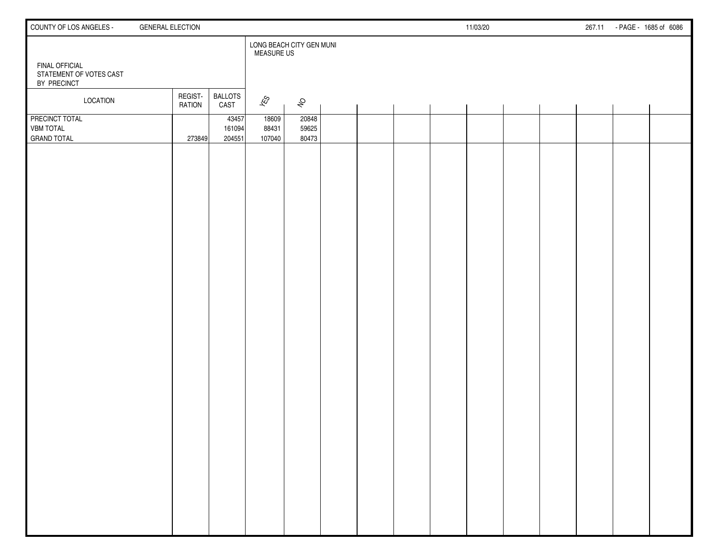| COUNTY OF LOS ANGELES -                                         | <b>GENERAL ELECTION</b>                     |                                               |                         |  | 11/03/20 |  | 267.11 | - PAGE - 1685 of 6086 |
|-----------------------------------------------------------------|---------------------------------------------|-----------------------------------------------|-------------------------|--|----------|--|--------|-----------------------|
| <b>FINAL OFFICIAL</b><br>STATEMENT OF VOTES CAST<br>BY PRECINCT |                                             | LONG BEACH CITY GEN MUNI<br><b>MEASURE US</b> |                         |  |          |  |        |                       |
| <b>LOCATION</b>                                                 | REGIST-<br><b>BALLOTS</b><br>RATION<br>CAST | $\mathscr{E}_{\mathcal{S}}$                   | $\hat{\mathcal{S}}$     |  |          |  |        |                       |
| PRECINCT TOTAL<br><b>VBM TOTAL</b><br><b>GRAND TOTAL</b>        | 204551<br>273849                            | 43457<br>18609<br>161094<br>88431<br>107040   | 20848<br>59625<br>80473 |  |          |  |        |                       |
|                                                                 |                                             |                                               |                         |  |          |  |        |                       |
|                                                                 |                                             |                                               |                         |  |          |  |        |                       |
|                                                                 |                                             |                                               |                         |  |          |  |        |                       |
|                                                                 |                                             |                                               |                         |  |          |  |        |                       |
|                                                                 |                                             |                                               |                         |  |          |  |        |                       |
|                                                                 |                                             |                                               |                         |  |          |  |        |                       |
|                                                                 |                                             |                                               |                         |  |          |  |        |                       |
|                                                                 |                                             |                                               |                         |  |          |  |        |                       |
|                                                                 |                                             |                                               |                         |  |          |  |        |                       |
|                                                                 |                                             |                                               |                         |  |          |  |        |                       |
|                                                                 |                                             |                                               |                         |  |          |  |        |                       |
|                                                                 |                                             |                                               |                         |  |          |  |        |                       |
|                                                                 |                                             |                                               |                         |  |          |  |        |                       |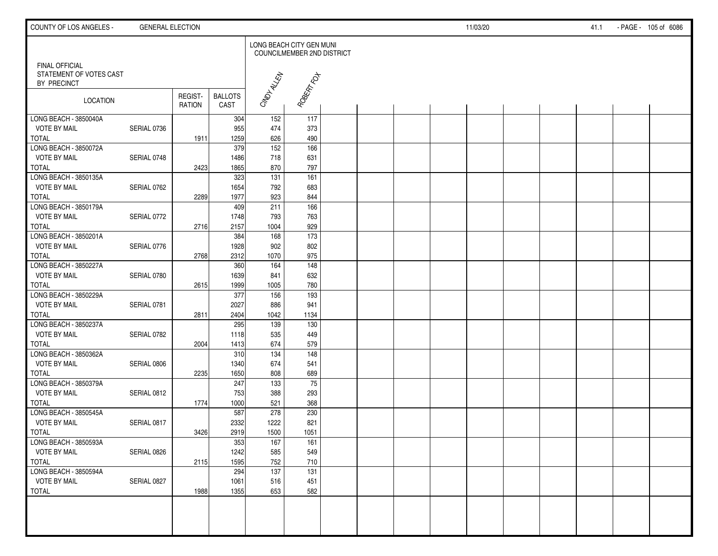| COUNTY OF LOS ANGELES -                                  | <b>GENERAL ELECTION</b> |                   |                        |                          |                            |  |  | 11/03/20 |  | 41.1 | - PAGE - 105 of 6086 |  |
|----------------------------------------------------------|-------------------------|-------------------|------------------------|--------------------------|----------------------------|--|--|----------|--|------|----------------------|--|
|                                                          |                         |                   |                        | LONG BEACH CITY GEN MUNI | COUNCILMEMBER 2ND DISTRICT |  |  |          |  |      |                      |  |
| FINAL OFFICIAL<br>STATEMENT OF VOTES CAST<br>BY PRECINCT |                         |                   |                        | CMDIALEN                 | ROBERT FOT                 |  |  |          |  |      |                      |  |
| LOCATION                                                 |                         | REGIST-<br>RATION | <b>BALLOTS</b><br>CAST |                          |                            |  |  |          |  |      |                      |  |
| LONG BEACH - 3850040A                                    |                         |                   | 304                    | 152                      | 117                        |  |  |          |  |      |                      |  |
| <b>VOTE BY MAIL</b>                                      | SERIAL 0736             |                   | 955                    | 474                      | 373                        |  |  |          |  |      |                      |  |
| TOTAL                                                    |                         | 1911              | 1259                   | 626                      | 490                        |  |  |          |  |      |                      |  |
| LONG BEACH - 3850072A                                    |                         |                   | 379                    | 152                      | 166                        |  |  |          |  |      |                      |  |
| <b>VOTE BY MAIL</b>                                      | SERIAL 0748             |                   | 1486                   | 718                      | 631                        |  |  |          |  |      |                      |  |
| <b>TOTAL</b><br>LONG BEACH - 3850135A                    |                         | 2423              | 1865<br>323            | 870<br>131               | 797<br>161                 |  |  |          |  |      |                      |  |
| <b>VOTE BY MAIL</b>                                      |                         |                   | 1654                   | 792                      | 683                        |  |  |          |  |      |                      |  |
| <b>TOTAL</b>                                             | SERIAL 0762             | 2289              | 1977                   | 923                      | 844                        |  |  |          |  |      |                      |  |
| LONG BEACH - 3850179A                                    |                         |                   | 409                    | 211                      | 166                        |  |  |          |  |      |                      |  |
| <b>VOTE BY MAIL</b>                                      | SERIAL 0772             |                   | 1748                   | 793                      | 763                        |  |  |          |  |      |                      |  |
| <b>TOTAL</b>                                             |                         | 2716              | 2157                   | 1004                     | 929                        |  |  |          |  |      |                      |  |
| LONG BEACH - 3850201A                                    |                         |                   | 384                    | 168                      | 173                        |  |  |          |  |      |                      |  |
| <b>VOTE BY MAIL</b>                                      | SERIAL 0776             |                   | 1928                   | 902                      | 802                        |  |  |          |  |      |                      |  |
| <b>TOTAL</b>                                             |                         | 2768              | 2312                   | 1070                     | 975                        |  |  |          |  |      |                      |  |
| LONG BEACH - 3850227A                                    |                         |                   | 360                    | 164                      | 148                        |  |  |          |  |      |                      |  |
| <b>VOTE BY MAIL</b>                                      | SERIAL 0780             |                   | 1639                   | 841                      | 632                        |  |  |          |  |      |                      |  |
| <b>TOTAL</b>                                             |                         | 2615              | 1999                   | 1005                     | 780                        |  |  |          |  |      |                      |  |
| LONG BEACH - 3850229A                                    |                         |                   | 377                    | 156                      | 193                        |  |  |          |  |      |                      |  |
| <b>VOTE BY MAIL</b>                                      | SERIAL 0781             |                   | 2027                   | 886                      | 941                        |  |  |          |  |      |                      |  |
| <b>TOTAL</b>                                             |                         | 2811              | 2404                   | 1042                     | 1134                       |  |  |          |  |      |                      |  |
| LONG BEACH - 3850237A                                    |                         |                   | 295                    | 139                      | 130                        |  |  |          |  |      |                      |  |
| <b>VOTE BY MAIL</b>                                      | SERIAL 0782             |                   | 1118                   | 535                      | 449                        |  |  |          |  |      |                      |  |
| <b>TOTAL</b>                                             |                         | 2004              | 1413                   | 674                      | 579                        |  |  |          |  |      |                      |  |
| LONG BEACH - 3850362A                                    |                         |                   | 310                    | 134                      | 148                        |  |  |          |  |      |                      |  |
| <b>VOTE BY MAIL</b>                                      | SERIAL 0806             |                   | 1340                   | 674                      | 541                        |  |  |          |  |      |                      |  |
| <b>TOTAL</b>                                             |                         | 2235              | 1650                   | 808                      | 689                        |  |  |          |  |      |                      |  |
| LONG BEACH - 3850379A                                    |                         |                   | 247                    | 133                      | $\overline{75}$            |  |  |          |  |      |                      |  |
| <b>VOTE BY MAIL</b>                                      | SERIAL 0812             |                   | 753                    | 388                      | 293                        |  |  |          |  |      |                      |  |
| <b>TOTAL</b>                                             |                         | 1774              | 1000                   | 521                      | 368                        |  |  |          |  |      |                      |  |
| LONG BEACH - 3850545A                                    |                         |                   | 587                    | 278                      | 230                        |  |  |          |  |      |                      |  |
| VOTE BY MAIL                                             | SERIAL 0817             |                   | 2332                   | 1222                     | 821                        |  |  |          |  |      |                      |  |
| TOTAL                                                    |                         | 3426              | 2919                   | 1500                     | 1051                       |  |  |          |  |      |                      |  |
| LONG BEACH - 3850593A                                    |                         |                   | 353                    | 167                      | 161                        |  |  |          |  |      |                      |  |
| <b>VOTE BY MAIL</b>                                      | SERIAL 0826             |                   | 1242                   | 585                      | 549                        |  |  |          |  |      |                      |  |
| <b>TOTAL</b><br>LONG BEACH - 3850594A                    |                         | 2115              | 1595                   | 752<br>$\frac{137}{ }$   | 710                        |  |  |          |  |      |                      |  |
|                                                          |                         |                   | 294                    |                          | 131                        |  |  |          |  |      |                      |  |
| <b>VOTE BY MAIL</b>                                      | SERIAL 0827             |                   | 1061<br>1355           | 516<br>653               | 451<br>582                 |  |  |          |  |      |                      |  |
| TOTAL                                                    |                         | 1988              |                        |                          |                            |  |  |          |  |      |                      |  |
|                                                          |                         |                   |                        |                          |                            |  |  |          |  |      |                      |  |
|                                                          |                         |                   |                        |                          |                            |  |  |          |  |      |                      |  |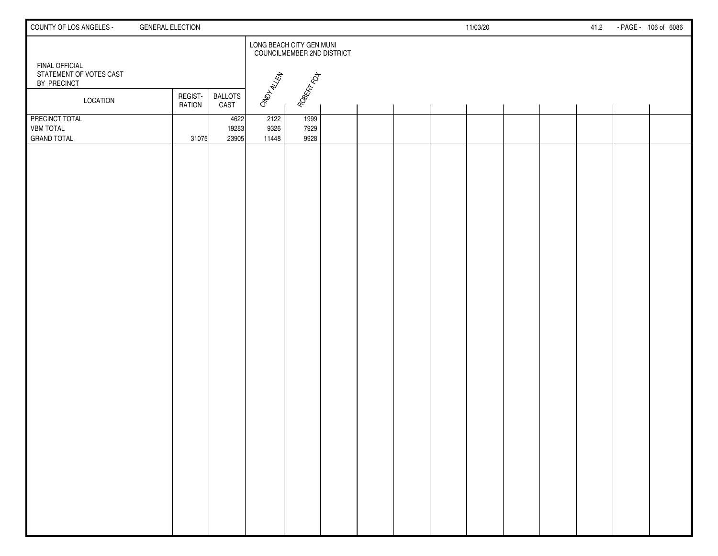| COUNTY OF LOS ANGELES -                                  | <b>GENERAL ELECTION</b>  |                        |                       |                                                               |  |  | 11/03/20 |  | 41.2 | - PAGE - 106 of 6086 |
|----------------------------------------------------------|--------------------------|------------------------|-----------------------|---------------------------------------------------------------|--|--|----------|--|------|----------------------|
| <b>FINAL OFFICIAL</b>                                    |                          |                        |                       | LONG BEACH CITY GEN MUNI<br><b>COUNCILMEMBER 2ND DISTRICT</b> |  |  |          |  |      |                      |
| STATEMENT OF VOTES CAST<br>BY PRECINCT                   |                          |                        | CMD <sub>HALLEN</sub> | ROBERT FOT                                                    |  |  |          |  |      |                      |
| <b>LOCATION</b>                                          | REGIST-<br><b>RATION</b> | <b>BALLOTS</b><br>CAST |                       |                                                               |  |  |          |  |      |                      |
| PRECINCT TOTAL<br><b>VBM TOTAL</b><br><b>GRAND TOTAL</b> | 31075                    | 4622<br>19283<br>23905 | 2122<br>9326<br>11448 | 1999<br>7929<br>9928                                          |  |  |          |  |      |                      |
|                                                          |                          |                        |                       |                                                               |  |  |          |  |      |                      |
|                                                          |                          |                        |                       |                                                               |  |  |          |  |      |                      |
|                                                          |                          |                        |                       |                                                               |  |  |          |  |      |                      |
|                                                          |                          |                        |                       |                                                               |  |  |          |  |      |                      |
|                                                          |                          |                        |                       |                                                               |  |  |          |  |      |                      |
|                                                          |                          |                        |                       |                                                               |  |  |          |  |      |                      |
|                                                          |                          |                        |                       |                                                               |  |  |          |  |      |                      |
|                                                          |                          |                        |                       |                                                               |  |  |          |  |      |                      |
|                                                          |                          |                        |                       |                                                               |  |  |          |  |      |                      |
|                                                          |                          |                        |                       |                                                               |  |  |          |  |      |                      |
|                                                          |                          |                        |                       |                                                               |  |  |          |  |      |                      |
|                                                          |                          |                        |                       |                                                               |  |  |          |  |      |                      |
|                                                          |                          |                        |                       |                                                               |  |  |          |  |      |                      |
|                                                          |                          |                        |                       |                                                               |  |  |          |  |      |                      |
|                                                          |                          |                        |                       |                                                               |  |  |          |  |      |                      |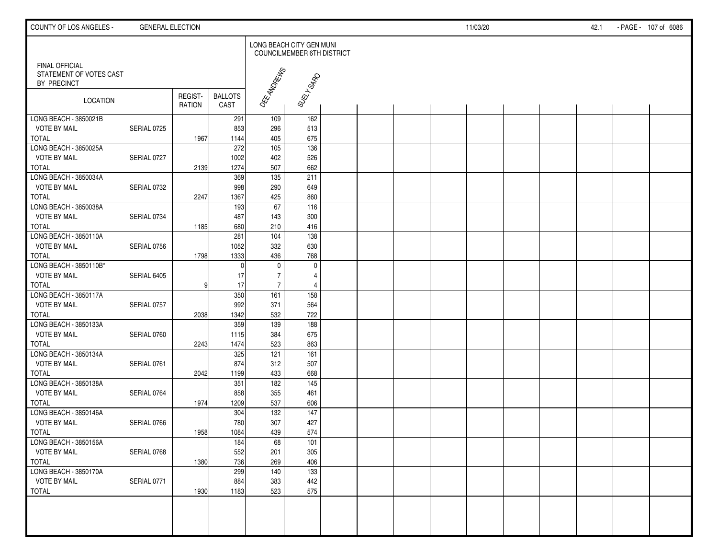| COUNTY OF LOS ANGELES -                                         | <b>GENERAL ELECTION</b> |                          |                        |                                  |                            |  |  | 11/03/20 |  | 42.1 | - PAGE - 107 of 6086 |  |
|-----------------------------------------------------------------|-------------------------|--------------------------|------------------------|----------------------------------|----------------------------|--|--|----------|--|------|----------------------|--|
|                                                                 |                         |                          |                        | LONG BEACH CITY GEN MUNI         | COUNCILMEMBER 6TH DISTRICT |  |  |          |  |      |                      |  |
| <b>FINAL OFFICIAL</b><br>STATEMENT OF VOTES CAST<br>BY PRECINCT |                         |                          |                        | OEE ANDREWS                      |                            |  |  |          |  |      |                      |  |
| LOCATION                                                        |                         | REGIST-<br><b>RATION</b> | <b>BALLOTS</b><br>CAST |                                  | SUELL SARD                 |  |  |          |  |      |                      |  |
| LONG BEACH - 3850021B                                           |                         |                          | 291                    | 109                              | 162                        |  |  |          |  |      |                      |  |
| <b>VOTE BY MAIL</b>                                             | SERIAL 0725             |                          | 853                    | 296                              | 513<br>675                 |  |  |          |  |      |                      |  |
| <b>TOTAL</b><br>LONG BEACH - 3850025A                           |                         | 1967                     | 1144<br>272            | 405<br>105                       | 136                        |  |  |          |  |      |                      |  |
| <b>VOTE BY MAIL</b>                                             | SERIAL 0727             |                          | 1002                   | 402                              | 526                        |  |  |          |  |      |                      |  |
| <b>TOTAL</b>                                                    |                         | 2139                     | 1274                   | 507                              | 662                        |  |  |          |  |      |                      |  |
| LONG BEACH - 3850034A                                           |                         |                          | 369                    | 135                              | 211                        |  |  |          |  |      |                      |  |
| <b>VOTE BY MAIL</b>                                             | SERIAL 0732             |                          | 998                    | 290                              | 649                        |  |  |          |  |      |                      |  |
| <b>TOTAL</b>                                                    |                         | 2247                     | 1367                   | 425                              | 860                        |  |  |          |  |      |                      |  |
| LONG BEACH - 3850038A                                           |                         |                          | 193                    | 67                               | 116                        |  |  |          |  |      |                      |  |
| <b>VOTE BY MAIL</b>                                             | SERIAL 0734             |                          | 487                    | 143                              | 300                        |  |  |          |  |      |                      |  |
| <b>TOTAL</b>                                                    |                         | 1185                     | 680                    | 210                              | 416                        |  |  |          |  |      |                      |  |
| LONG BEACH - 3850110A                                           |                         |                          | $\overline{281}$       | 104                              | $\frac{138}{ }$            |  |  |          |  |      |                      |  |
| <b>VOTE BY MAIL</b>                                             | SERIAL 0756             |                          | 1052                   | 332                              | 630                        |  |  |          |  |      |                      |  |
| <b>TOTAL</b>                                                    |                         | 1798                     | 1333                   | 436                              | 768                        |  |  |          |  |      |                      |  |
| LONG BEACH - 3850110B*                                          |                         |                          |                        | $\mathbf 0$                      | $\mathbf 0$                |  |  |          |  |      |                      |  |
| <b>VOTE BY MAIL</b>                                             | SERIAL 6405             |                          | 17                     | $\overline{7}$<br>$\overline{7}$ | 4                          |  |  |          |  |      |                      |  |
| <b>TOTAL</b><br>LONG BEACH - 3850117A                           |                         | 9                        | 17<br>350              | 161                              | $\overline{4}$<br>158      |  |  |          |  |      |                      |  |
| <b>VOTE BY MAIL</b>                                             | SERIAL 0757             |                          | 992                    | 371                              | 564                        |  |  |          |  |      |                      |  |
| <b>TOTAL</b>                                                    |                         | 2038                     | 1342                   | 532                              | 722                        |  |  |          |  |      |                      |  |
| LONG BEACH - 3850133A                                           |                         |                          | 359                    | 139                              | 188                        |  |  |          |  |      |                      |  |
| <b>VOTE BY MAIL</b>                                             | SERIAL 0760             |                          | 1115                   | 384                              | 675                        |  |  |          |  |      |                      |  |
| <b>TOTAL</b>                                                    |                         | 2243                     | 1474                   | 523                              | 863                        |  |  |          |  |      |                      |  |
| LONG BEACH - 3850134A                                           |                         |                          | 325                    | 121                              | 161                        |  |  |          |  |      |                      |  |
| <b>VOTE BY MAIL</b>                                             | SERIAL 0761             |                          | 874                    | 312                              | 507                        |  |  |          |  |      |                      |  |
| <b>TOTAL</b>                                                    |                         | 2042                     | 1199                   | 433                              | 668                        |  |  |          |  |      |                      |  |
| LONG BEACH - 3850138A                                           |                         |                          | 351                    | 182                              | $\frac{145}{ }$            |  |  |          |  |      |                      |  |
| <b>VOTE BY MAIL</b>                                             | SERIAL 0764             |                          | 858                    | 355                              | 461                        |  |  |          |  |      |                      |  |
| <b>TOTAL</b>                                                    |                         | 1974                     | 1209                   | 537                              | 606                        |  |  |          |  |      |                      |  |
| LONG BEACH - 3850146A                                           |                         |                          | 304                    | 132                              | $\frac{147}{147}$          |  |  |          |  |      |                      |  |
| VOTE BY MAIL<br>ı                                               | SERIAL 0766             |                          | 780                    | 307                              | 427                        |  |  |          |  |      |                      |  |
| <b>TOTAL</b><br>LONG BEACH - 3850156A                           |                         | 1958                     | 1084<br>184            | 439                              | 574                        |  |  |          |  |      |                      |  |
| <b>VOTE BY MAIL</b>                                             | SERIAL 0768             |                          | 552                    | 68<br>201                        | 101<br>305                 |  |  |          |  |      |                      |  |
| <b>TOTAL</b>                                                    |                         | 1380                     | 736                    | 269                              | 406                        |  |  |          |  |      |                      |  |
| LONG BEACH - 3850170A                                           |                         |                          | 299                    | 140                              | 133                        |  |  |          |  |      |                      |  |
| <b>VOTE BY MAIL</b>                                             | SERIAL 0771             |                          | 884                    | 383                              | 442                        |  |  |          |  |      |                      |  |
| <b>TOTAL</b>                                                    |                         | 1930                     | 1183                   | 523                              | 575                        |  |  |          |  |      |                      |  |
|                                                                 |                         |                          |                        |                                  |                            |  |  |          |  |      |                      |  |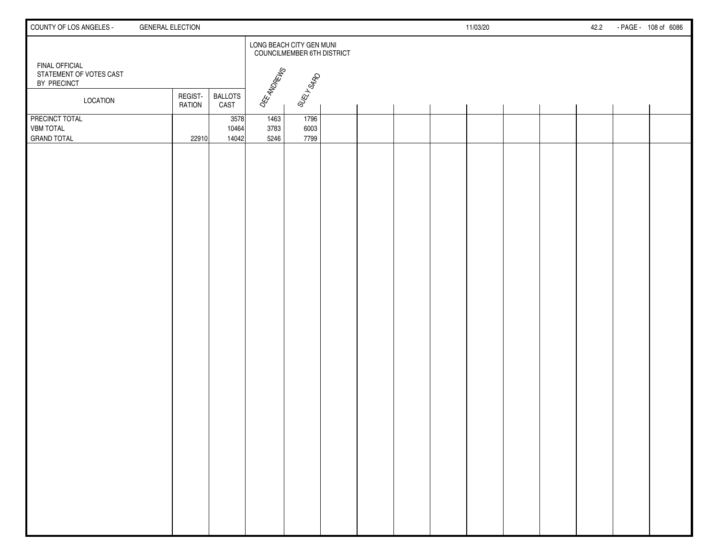| COUNTY OF LOS ANGELES -                                  | <b>GENERAL ELECTION</b>  |                        |                      |                                                               |  |  | 11/03/20 |  | 42.2 | - PAGE - 108 of 6086 |  |
|----------------------------------------------------------|--------------------------|------------------------|----------------------|---------------------------------------------------------------|--|--|----------|--|------|----------------------|--|
|                                                          |                          |                        |                      | LONG BEACH CITY GEN MUNI<br><b>COUNCILMEMBER 6TH DISTRICT</b> |  |  |          |  |      |                      |  |
| FINAL OFFICIAL<br>STATEMENT OF VOTES CAST<br>BY PRECINCT |                          |                        | DEE ANDREINS         | SUELL SARD                                                    |  |  |          |  |      |                      |  |
| LOCATION                                                 | REGIST-<br><b>RATION</b> | <b>BALLOTS</b><br>CAST |                      |                                                               |  |  |          |  |      |                      |  |
| PRECINCT TOTAL<br><b>VBM TOTAL</b><br><b>GRAND TOTAL</b> | 22910                    | 3578<br>10464<br>14042 | 1463<br>3783<br>5246 | 1796<br>6003<br>7799                                          |  |  |          |  |      |                      |  |
|                                                          |                          |                        |                      |                                                               |  |  |          |  |      |                      |  |
|                                                          |                          |                        |                      |                                                               |  |  |          |  |      |                      |  |
|                                                          |                          |                        |                      |                                                               |  |  |          |  |      |                      |  |
|                                                          |                          |                        |                      |                                                               |  |  |          |  |      |                      |  |
|                                                          |                          |                        |                      |                                                               |  |  |          |  |      |                      |  |
|                                                          |                          |                        |                      |                                                               |  |  |          |  |      |                      |  |
|                                                          |                          |                        |                      |                                                               |  |  |          |  |      |                      |  |
|                                                          |                          |                        |                      |                                                               |  |  |          |  |      |                      |  |
|                                                          |                          |                        |                      |                                                               |  |  |          |  |      |                      |  |
|                                                          |                          |                        |                      |                                                               |  |  |          |  |      |                      |  |
|                                                          |                          |                        |                      |                                                               |  |  |          |  |      |                      |  |
|                                                          |                          |                        |                      |                                                               |  |  |          |  |      |                      |  |
|                                                          |                          |                        |                      |                                                               |  |  |          |  |      |                      |  |
|                                                          |                          |                        |                      |                                                               |  |  |          |  |      |                      |  |
|                                                          |                          |                        |                      |                                                               |  |  |          |  |      |                      |  |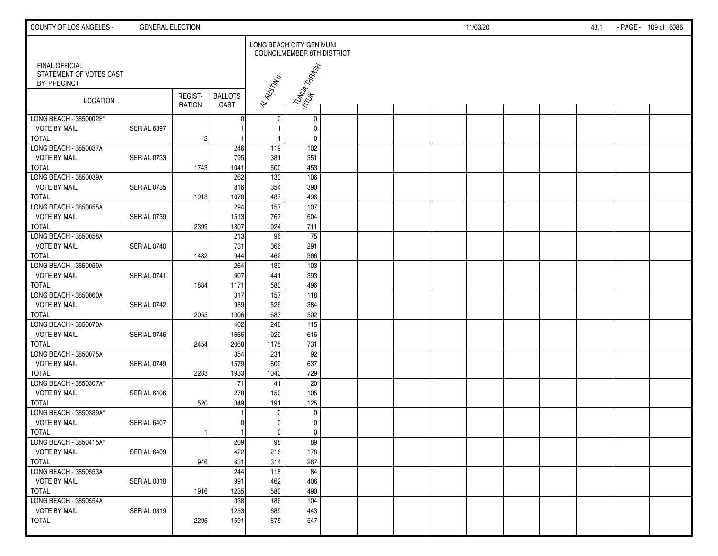| COUNTY OF LOS ANGELES -                                         | <b>GENERAL ELECTION</b> |                   |                        |                          |                             |  |  | 11/03/20 |  | 43.1 | - PAGE - 109 of 6086 |
|-----------------------------------------------------------------|-------------------------|-------------------|------------------------|--------------------------|-----------------------------|--|--|----------|--|------|----------------------|
|                                                                 |                         |                   |                        | LONG BEACH CITY GEN MUNI | COUNCILMEMBER 8TH DISTRICT  |  |  |          |  |      |                      |
| <b>FINAL OFFICIAL</b><br>STATEMENT OF VOTES CAST<br>BY PRECINCT |                         |                   |                        |                          | TUNYA TARAJA<br>MTUH TARAJA |  |  |          |  |      |                      |
| LOCATION                                                        |                         | REGIST-<br>RATION | <b>BALLOTS</b><br>CAST | AL ALISTM IN             |                             |  |  |          |  |      |                      |
| LONG BEACH - 3850002E*<br><b>VOTE BY MAIL</b>                   | SERIAL 6397             |                   |                        | 0<br>$\mathbf{1}$        | $\mathbf 0$<br>0            |  |  |          |  |      |                      |
| <b>TOTAL</b>                                                    |                         | $\overline{c}$    |                        | $\mathbf{1}$             | 0                           |  |  |          |  |      |                      |
| LONG BEACH - 3850037A                                           |                         |                   | 246                    | 119                      | 102                         |  |  |          |  |      |                      |
| <b>VOTE BY MAIL</b>                                             | SERIAL 0733             |                   | 795                    | 381                      | 351                         |  |  |          |  |      |                      |
| <b>TOTAL</b>                                                    |                         | 1743              | 1041                   | 500                      | 453                         |  |  |          |  |      |                      |
| LONG BEACH - 3850039A                                           |                         |                   | 262                    | $\frac{1}{33}$           | $\frac{106}{106}$           |  |  |          |  |      |                      |
| <b>VOTE BY MAIL</b>                                             | SERIAL 0735             |                   | 816                    | 354                      | 390                         |  |  |          |  |      |                      |
| <b>TOTAL</b>                                                    |                         | 1918              | 1078                   | 487                      | 496                         |  |  |          |  |      |                      |
| LONG BEACH - 3850055A                                           |                         |                   | 294                    | 157                      | 107                         |  |  |          |  |      |                      |
| <b>VOTE BY MAIL</b>                                             | SERIAL 0739             |                   | 1513                   | 767                      | 604                         |  |  |          |  |      |                      |
| <b>TOTAL</b>                                                    |                         | 2399              | 1807                   | 924                      | 711                         |  |  |          |  |      |                      |
| LONG BEACH - 3850058A                                           |                         |                   | 213                    | 96                       | 75                          |  |  |          |  |      |                      |
| <b>VOTE BY MAIL</b>                                             | SERIAL 0740             |                   | 731                    | 366                      | 291                         |  |  |          |  |      |                      |
| <b>TOTAL</b>                                                    |                         | 1482              | 944                    | 462                      | 366                         |  |  |          |  |      |                      |
| LONG BEACH - 3850059A                                           |                         |                   | 264                    | 139                      | $\frac{103}{2}$             |  |  |          |  |      |                      |
| <b>VOTE BY MAIL</b>                                             | SERIAL 0741             |                   | 907                    | 441                      | 393                         |  |  |          |  |      |                      |
| <b>TOTAL</b>                                                    |                         | 1884              | 1171                   | 580                      | 496                         |  |  |          |  |      |                      |
| LONG BEACH - 3850060A                                           |                         |                   | 317                    | 157                      | $\frac{118}{118}$           |  |  |          |  |      |                      |
| <b>VOTE BY MAIL</b>                                             | SERIAL 0742             |                   | 989                    | 526                      | 384                         |  |  |          |  |      |                      |
| <b>TOTAL</b>                                                    |                         | 2055              | 1306                   | 683                      | 502                         |  |  |          |  |      |                      |
| LONG BEACH - 3850070A                                           |                         |                   | 402                    | 246                      | 115                         |  |  |          |  |      |                      |
| <b>VOTE BY MAIL</b>                                             | SERIAL 0746             |                   | 1666                   | 929                      | 616                         |  |  |          |  |      |                      |
| <b>TOTAL</b>                                                    |                         | 2454              | 2068                   | 1175                     | 731                         |  |  |          |  |      |                      |
| LONG BEACH - 3850075A                                           |                         |                   | 354                    | 231                      | 92                          |  |  |          |  |      |                      |
| <b>VOTE BY MAIL</b>                                             | SERIAL 0749             |                   | 1579                   | 809                      | 637                         |  |  |          |  |      |                      |
| <b>TOTAL</b>                                                    |                         | 2283              | 1933                   | 1040                     | 729                         |  |  |          |  |      |                      |
| LONG BEACH - 3850307A*                                          |                         |                   | 71                     | 41                       | 20                          |  |  |          |  |      |                      |
| <b>VOTE BY MAIL</b>                                             | SERIAL 6406             |                   | 278                    | 150                      | 105                         |  |  |          |  |      |                      |
| <b>TOTAL</b>                                                    |                         | 520               | 349                    | 191                      | 125                         |  |  |          |  |      |                      |
| LONG BEACH - 3850389A*                                          |                         |                   |                        | $\mathbf 0$              | $\mathbf 0$                 |  |  |          |  |      |                      |
| <b>VOTE BY MAIL</b>                                             | SERIAL 6407             |                   | $\overline{0}$         | $\mathbf 0$              | $\mathbf 0$                 |  |  |          |  |      |                      |
| <b>TOTAL</b>                                                    |                         |                   |                        | $\mathbf 0$              | $\mathbf 0$                 |  |  |          |  |      |                      |
| LONG BEACH - 3850415A*                                          |                         |                   | 209                    | 98                       | 89                          |  |  |          |  |      |                      |
| <b>VOTE BY MAIL</b>                                             | SERIAL 6409             |                   | 422                    | 216                      | 178                         |  |  |          |  |      |                      |
| <b>TOTAL</b>                                                    |                         | 946               | 631<br>244             | 314                      | 267<br>84                   |  |  |          |  |      |                      |
| LONG BEACH - 3850553A<br><b>VOTE BY MAIL</b>                    | SERIAL 0818             |                   | 991                    | 118                      | 406                         |  |  |          |  |      |                      |
| <b>TOTAL</b>                                                    |                         | 1916              | 1235                   | 462<br>580               | 490                         |  |  |          |  |      |                      |
| LONG BEACH - 3850554A                                           |                         |                   | 338                    | 186                      | 104                         |  |  |          |  |      |                      |
| <b>VOTE BY MAIL</b>                                             | SERIAL 0819             |                   | 1253                   | 689                      | 443                         |  |  |          |  |      |                      |
| <b>TOTAL</b>                                                    |                         | 2295              | 1591                   | 875                      | 547                         |  |  |          |  |      |                      |
|                                                                 |                         |                   |                        |                          |                             |  |  |          |  |      |                      |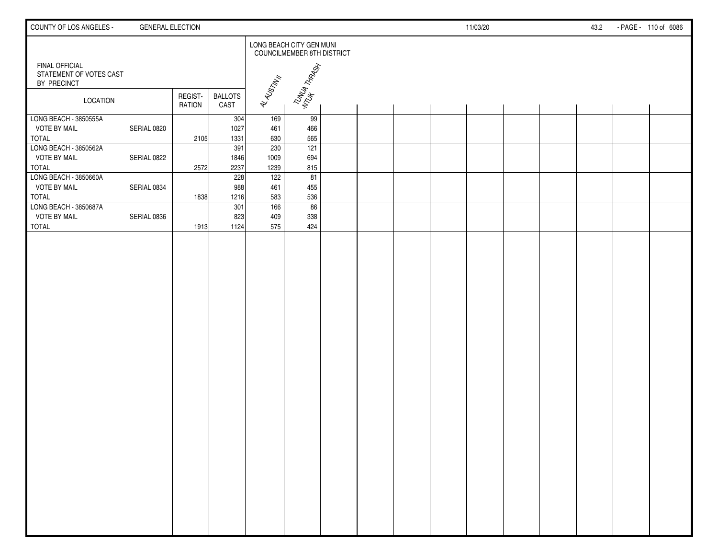| COUNTY OF LOS ANGELES -                                      | <b>GENERAL ELECTION</b> |                          |                        |                   |                                                               |  |  | 11/03/20 |  | 43.2 | - PAGE - 110 of 6086 |
|--------------------------------------------------------------|-------------------------|--------------------------|------------------------|-------------------|---------------------------------------------------------------|--|--|----------|--|------|----------------------|
|                                                              |                         |                          |                        |                   | LONG BEACH CITY GEN MUNI<br><b>COUNCILMEMBER 8TH DISTRICT</b> |  |  |          |  |      |                      |
| FINAL OFFICIAL<br>STATEMENT OF VOTES CAST<br>BY PRECINCT     |                         |                          |                        |                   | TUNUA TARASH                                                  |  |  |          |  |      |                      |
| <b>LOCATION</b>                                              |                         | REGIST-<br><b>RATION</b> | <b>BALLOTS</b><br>CAST | AL ALISTM IN      |                                                               |  |  |          |  |      |                      |
| LONG BEACH - 3850555A<br><b>VOTE BY MAIL</b>                 | SERIAL 0820             |                          | 304<br>1027<br>1331    | 169<br>461<br>630 | 99<br>466<br>565                                              |  |  |          |  |      |                      |
| <b>TOTAL</b><br>LONG BEACH - 3850562A<br><b>VOTE BY MAIL</b> | SERIAL 0822             | 2105                     | 391<br>1846            | 230<br>1009       | 121<br>694                                                    |  |  |          |  |      |                      |
| <b>TOTAL</b><br>LONG BEACH - 3850660A                        |                         | 2572                     | 2237<br>228            | 1239<br>122       | 815<br>81                                                     |  |  |          |  |      |                      |
| <b>VOTE BY MAIL</b><br><b>TOTAL</b><br>LONG BEACH - 3850687A | SERIAL 0834             | 1838                     | 988<br>1216            | 461<br>583        | 455<br>536                                                    |  |  |          |  |      |                      |
| <b>VOTE BY MAIL</b><br><b>TOTAL</b>                          | SERIAL 0836             | 1913                     | 301<br>823<br>1124     | 166<br>409<br>575 | 86<br>338<br>424                                              |  |  |          |  |      |                      |
|                                                              |                         |                          |                        |                   |                                                               |  |  |          |  |      |                      |
|                                                              |                         |                          |                        |                   |                                                               |  |  |          |  |      |                      |
|                                                              |                         |                          |                        |                   |                                                               |  |  |          |  |      |                      |
|                                                              |                         |                          |                        |                   |                                                               |  |  |          |  |      |                      |
|                                                              |                         |                          |                        |                   |                                                               |  |  |          |  |      |                      |
|                                                              |                         |                          |                        |                   |                                                               |  |  |          |  |      |                      |
|                                                              |                         |                          |                        |                   |                                                               |  |  |          |  |      |                      |
|                                                              |                         |                          |                        |                   |                                                               |  |  |          |  |      |                      |
|                                                              |                         |                          |                        |                   |                                                               |  |  |          |  |      |                      |
|                                                              |                         |                          |                        |                   |                                                               |  |  |          |  |      |                      |
|                                                              |                         |                          |                        |                   |                                                               |  |  |          |  |      |                      |
|                                                              |                         |                          |                        |                   |                                                               |  |  |          |  |      |                      |
|                                                              |                         |                          |                        |                   |                                                               |  |  |          |  |      |                      |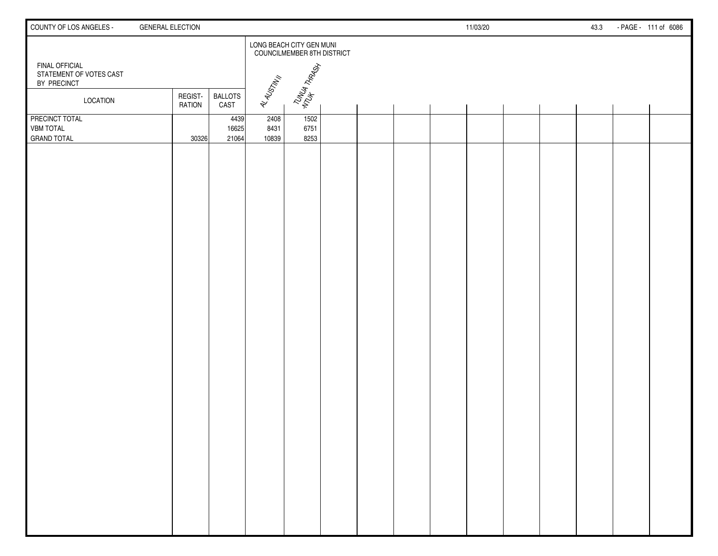| COUNTY OF LOS ANGELES -                                  | <b>GENERAL ELECTION</b>  |                        |                       |                                                               |  |  | 11/03/20 |  | 43.3 | - PAGE - 111 of 6086 |
|----------------------------------------------------------|--------------------------|------------------------|-----------------------|---------------------------------------------------------------|--|--|----------|--|------|----------------------|
|                                                          |                          |                        |                       | LONG BEACH CITY GEN MUNI<br><b>COUNCILMEMBER 8TH DISTRICT</b> |  |  |          |  |      |                      |
| FINAL OFFICIAL<br>STATEMENT OF VOTES CAST<br>BY PRECINCT |                          |                        |                       | TUNUA THARASH                                                 |  |  |          |  |      |                      |
| LOCATION                                                 | REGIST-<br><b>RATION</b> | <b>BALLOTS</b><br>CAST | AL ALGSTAV II         |                                                               |  |  |          |  |      |                      |
| PRECINCT TOTAL<br><b>VBM TOTAL</b><br><b>GRAND TOTAL</b> | 30326                    | 4439<br>16625<br>21064 | 2408<br>8431<br>10839 | 1502<br>6751<br>8253                                          |  |  |          |  |      |                      |
|                                                          |                          |                        |                       |                                                               |  |  |          |  |      |                      |
|                                                          |                          |                        |                       |                                                               |  |  |          |  |      |                      |
|                                                          |                          |                        |                       |                                                               |  |  |          |  |      |                      |
|                                                          |                          |                        |                       |                                                               |  |  |          |  |      |                      |
|                                                          |                          |                        |                       |                                                               |  |  |          |  |      |                      |
|                                                          |                          |                        |                       |                                                               |  |  |          |  |      |                      |
|                                                          |                          |                        |                       |                                                               |  |  |          |  |      |                      |
|                                                          |                          |                        |                       |                                                               |  |  |          |  |      |                      |
|                                                          |                          |                        |                       |                                                               |  |  |          |  |      |                      |
|                                                          |                          |                        |                       |                                                               |  |  |          |  |      |                      |
|                                                          |                          |                        |                       |                                                               |  |  |          |  |      |                      |
|                                                          |                          |                        |                       |                                                               |  |  |          |  |      |                      |
|                                                          |                          |                        |                       |                                                               |  |  |          |  |      |                      |
|                                                          |                          |                        |                       |                                                               |  |  |          |  |      |                      |
|                                                          |                          |                        |                       |                                                               |  |  |          |  |      |                      |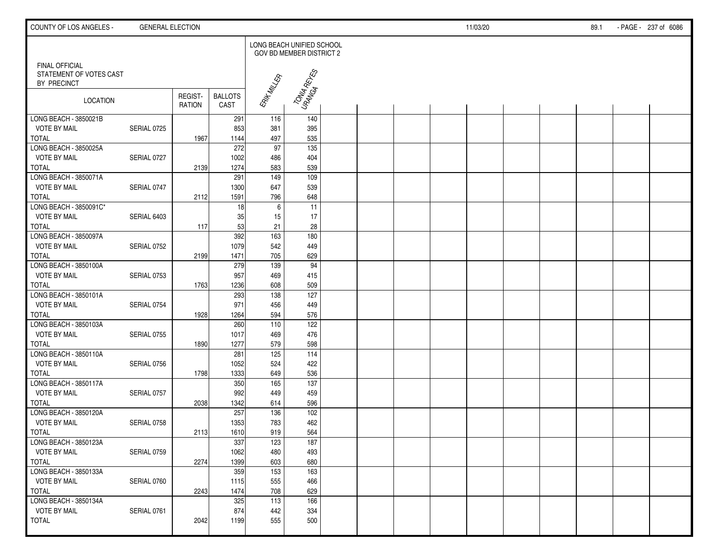| COUNTY OF LOS ANGELES -                                         | <b>GENERAL ELECTION</b> |                          |                        |                           |                          |  |  | 11/03/20 |  | 89.1 | - PAGE - 237 of 6086 |
|-----------------------------------------------------------------|-------------------------|--------------------------|------------------------|---------------------------|--------------------------|--|--|----------|--|------|----------------------|
|                                                                 |                         |                          |                        | LONG BEACH UNIFIED SCHOOL | GOV BD MEMBER DISTRICT 2 |  |  |          |  |      |                      |
| <b>FINAL OFFICIAL</b><br>STATEMENT OF VOTES CAST<br>BY PRECINCT |                         |                          |                        |                           | TONUA RETES              |  |  |          |  |      |                      |
| LOCATION                                                        |                         | REGIST-<br><b>RATION</b> | <b>BALLOTS</b><br>CAST | ERIK MILLER               |                          |  |  |          |  |      |                      |
| LONG BEACH - 3850021B                                           |                         |                          | 291                    | 116                       | 140                      |  |  |          |  |      |                      |
| <b>VOTE BY MAIL</b><br><b>TOTAL</b>                             | SERIAL 0725             | 1967                     | 853<br>1144            | 381<br>497                | 395<br>535               |  |  |          |  |      |                      |
| LONG BEACH - 3850025A                                           |                         |                          | 272                    | $\overline{97}$           | 135                      |  |  |          |  |      |                      |
| <b>VOTE BY MAIL</b>                                             | SERIAL 0727             |                          | 1002                   | 486                       | 404                      |  |  |          |  |      |                      |
| <b>TOTAL</b>                                                    |                         | 2139                     | 1274                   | 583                       | 539                      |  |  |          |  |      |                      |
| LONG BEACH - 3850071A                                           |                         |                          | 291                    | $\frac{149}{ }$           | 109                      |  |  |          |  |      |                      |
| <b>VOTE BY MAIL</b>                                             | SERIAL 0747             |                          | 1300                   | 647                       | 539                      |  |  |          |  |      |                      |
| <b>TOTAL</b>                                                    |                         | 2112                     | 1591                   | 796                       | 648                      |  |  |          |  |      |                      |
| LONG BEACH - 3850091C*                                          |                         |                          | 18                     | 6                         | 11                       |  |  |          |  |      |                      |
| <b>VOTE BY MAIL</b>                                             | SERIAL 6403             |                          | 35                     | 15                        | 17                       |  |  |          |  |      |                      |
| <b>TOTAL</b>                                                    |                         | 117                      | 53                     | 21                        | 28                       |  |  |          |  |      |                      |
| LONG BEACH - 3850097A                                           |                         |                          | 392                    | 163                       | 180                      |  |  |          |  |      |                      |
| <b>VOTE BY MAIL</b>                                             | SERIAL 0752             |                          | 1079                   | 542                       | 449                      |  |  |          |  |      |                      |
| <b>TOTAL</b>                                                    |                         | 2199                     | 1471                   | 705                       | 629                      |  |  |          |  |      |                      |
| LONG BEACH - 3850100A                                           |                         |                          | 279                    | 139                       | 94                       |  |  |          |  |      |                      |
| <b>VOTE BY MAIL</b>                                             | SERIAL 0753             |                          | 957                    | 469                       | 415                      |  |  |          |  |      |                      |
| TOTAL<br>LONG BEACH - 3850101A                                  |                         | 1763                     | 1236<br>293            | 608                       | 509<br>127               |  |  |          |  |      |                      |
| <b>VOTE BY MAIL</b>                                             | SERIAL 0754             |                          | 971                    | 138<br>456                | 449                      |  |  |          |  |      |                      |
| <b>TOTAL</b>                                                    |                         | 1928                     | 1264                   | 594                       | 576                      |  |  |          |  |      |                      |
| LONG BEACH - 3850103A                                           |                         |                          | 260                    | 110                       | 122                      |  |  |          |  |      |                      |
| <b>VOTE BY MAIL</b>                                             | SERIAL 0755             |                          | 1017                   | 469                       | 476                      |  |  |          |  |      |                      |
| <b>TOTAL</b>                                                    |                         | 1890                     | 1277                   | 579                       | 598                      |  |  |          |  |      |                      |
| LONG BEACH - 3850110A                                           |                         |                          | 281                    | 125                       | 114                      |  |  |          |  |      |                      |
| <b>VOTE BY MAIL</b>                                             | SERIAL 0756             |                          | 1052                   | 524                       | 422                      |  |  |          |  |      |                      |
| <b>TOTAL</b>                                                    |                         | 1798                     | 1333                   | 649                       | 536                      |  |  |          |  |      |                      |
| LONG BEACH - 3850117A                                           |                         |                          | 350                    | 165                       | $\overline{137}$         |  |  |          |  |      |                      |
| <b>VOTE BY MAIL</b>                                             | SERIAL 0757             |                          | 992                    | 449                       | 459                      |  |  |          |  |      |                      |
| <b>TOTAL</b>                                                    |                         | 2038                     | 1342                   | 614                       | 596                      |  |  |          |  |      |                      |
| LONG BEACH - 3850120A                                           |                         |                          | 257                    | 136                       | 102                      |  |  |          |  |      |                      |
| <b>VOTE BY MAIL</b>                                             | SERIAL 0758             |                          | 1353                   | 783                       | 462                      |  |  |          |  |      |                      |
| <b>TOTAL</b>                                                    |                         | 2113                     | 1610                   | 919                       | 564                      |  |  |          |  |      |                      |
| LONG BEACH - 3850123A                                           |                         |                          | 337                    | 123                       | 187                      |  |  |          |  |      |                      |
| <b>VOTE BY MAIL</b>                                             | SERIAL 0759             |                          | 1062                   | 480                       | 493                      |  |  |          |  |      |                      |
| <b>TOTAL</b><br>LONG BEACH - 3850133A                           |                         | 2274                     | 1399<br>359            | 603<br>$\overline{153}$   | 680<br>163               |  |  |          |  |      |                      |
| <b>VOTE BY MAIL</b>                                             | SERIAL 0760             |                          | 1115                   | 555                       | 466                      |  |  |          |  |      |                      |
| <b>TOTAL</b>                                                    |                         | 2243                     | 1474                   | 708                       | 629                      |  |  |          |  |      |                      |
| LONG BEACH - 3850134A                                           |                         |                          | 325                    | 113                       | 166                      |  |  |          |  |      |                      |
| <b>VOTE BY MAIL</b>                                             | SERIAL 0761             |                          | 874                    | 442                       | 334                      |  |  |          |  |      |                      |
| <b>TOTAL</b>                                                    |                         | 2042                     | 1199                   | 555                       | 500                      |  |  |          |  |      |                      |
|                                                                 |                         |                          |                        |                           |                          |  |  |          |  |      |                      |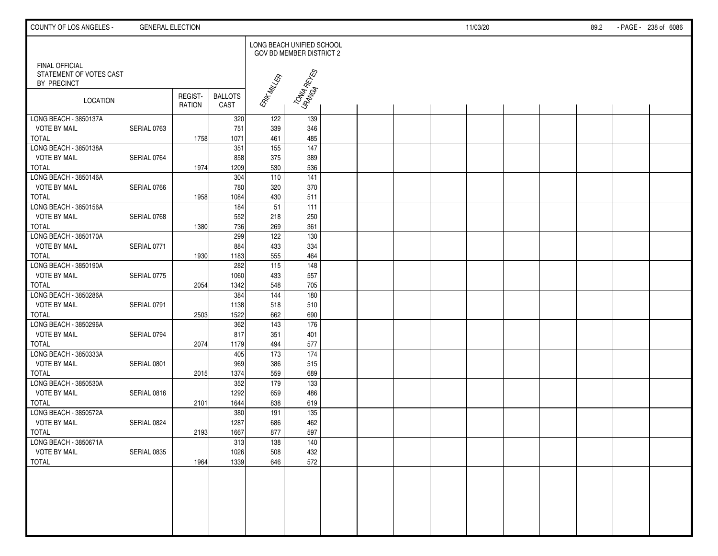| COUNTY OF LOS ANGELES -                                         | <b>GENERAL ELECTION</b> |                          |                        |                           |                          |  |  | 11/03/20 |  | 89.2 | - PAGE - 238 of 6086 |
|-----------------------------------------------------------------|-------------------------|--------------------------|------------------------|---------------------------|--------------------------|--|--|----------|--|------|----------------------|
|                                                                 |                         |                          |                        | LONG BEACH UNIFIED SCHOOL | GOV BD MEMBER DISTRICT 2 |  |  |          |  |      |                      |
| <b>FINAL OFFICIAL</b><br>STATEMENT OF VOTES CAST<br>BY PRECINCT |                         |                          |                        |                           | TONUA RETES              |  |  |          |  |      |                      |
| LOCATION                                                        |                         | REGIST-<br><b>RATION</b> | <b>BALLOTS</b><br>CAST | ERIK MILLER               |                          |  |  |          |  |      |                      |
| LONG BEACH - 3850137A                                           |                         |                          | 320                    | 122                       | 139                      |  |  |          |  |      |                      |
| <b>VOTE BY MAIL</b>                                             | SERIAL 0763             |                          | 751                    | 339                       | 346                      |  |  |          |  |      |                      |
| <b>TOTAL</b>                                                    |                         | 1758                     | 1071                   | 461                       | 485                      |  |  |          |  |      |                      |
| LONG BEACH - 3850138A                                           |                         |                          | 351                    | $\overline{155}$          | 147                      |  |  |          |  |      |                      |
| <b>VOTE BY MAIL</b><br><b>TOTAL</b>                             | SERIAL 0764             | 1974                     | 858<br>1209            | 375<br>530                | 389<br>536               |  |  |          |  |      |                      |
| LONG BEACH - 3850146A                                           |                         |                          | 304                    | 110                       | $\overline{141}$         |  |  |          |  |      |                      |
| <b>VOTE BY MAIL</b>                                             | SERIAL 0766             |                          | 780                    | 320                       | 370                      |  |  |          |  |      |                      |
| <b>TOTAL</b>                                                    |                         | 1958                     | 1084                   | 430                       | 511                      |  |  |          |  |      |                      |
| LONG BEACH - 3850156A                                           |                         |                          | 184                    | 51                        | 111                      |  |  |          |  |      |                      |
| <b>VOTE BY MAIL</b>                                             | SERIAL 0768             |                          | 552                    | 218                       | 250                      |  |  |          |  |      |                      |
| <b>TOTAL</b>                                                    |                         | 1380                     | 736                    | 269                       | 361                      |  |  |          |  |      |                      |
| LONG BEACH - 3850170A                                           |                         |                          | 299                    | 122                       | 130                      |  |  |          |  |      |                      |
| <b>VOTE BY MAIL</b>                                             | SERIAL 0771             |                          | 884                    | 433                       | 334                      |  |  |          |  |      |                      |
| <b>TOTAL</b>                                                    |                         | 1930                     | 1183                   | 555                       | 464                      |  |  |          |  |      |                      |
| LONG BEACH - 3850190A                                           |                         |                          | 282                    | $\frac{115}{115}$         | $\frac{148}{ }$          |  |  |          |  |      |                      |
| <b>VOTE BY MAIL</b>                                             | SERIAL 0775             |                          | 1060                   | 433                       | 557                      |  |  |          |  |      |                      |
| <b>TOTAL</b>                                                    |                         | 2054                     | 1342                   | 548                       | 705                      |  |  |          |  |      |                      |
| LONG BEACH - 3850286A                                           |                         |                          | 384                    | 144                       | 180                      |  |  |          |  |      |                      |
| <b>VOTE BY MAIL</b>                                             | SERIAL 0791             |                          | 1138                   | 518                       | 510                      |  |  |          |  |      |                      |
| <b>TOTAL</b>                                                    |                         | 2503                     | 1522                   | 662                       | 690                      |  |  |          |  |      |                      |
| LONG BEACH - 3850296A                                           |                         |                          | 362                    | $\overline{143}$          | $\frac{176}{ }$          |  |  |          |  |      |                      |
| <b>VOTE BY MAIL</b>                                             | SERIAL 0794             |                          | 817                    | 351                       | 401                      |  |  |          |  |      |                      |
| <b>TOTAL</b>                                                    |                         | 2074                     | 1179                   | 494                       | 577                      |  |  |          |  |      |                      |
| LONG BEACH - 3850333A                                           |                         |                          | 405                    | 173                       | 174                      |  |  |          |  |      |                      |
| <b>VOTE BY MAIL</b>                                             | SERIAL 0801             |                          | 969                    | 386                       | 515                      |  |  |          |  |      |                      |
| <b>TOTAL</b>                                                    |                         | 2015                     | 1374                   | 559                       | 689                      |  |  |          |  |      |                      |
| LONG BEACH - 3850530A                                           |                         |                          | 352                    | 179                       | 133                      |  |  |          |  |      |                      |
| <b>VOTE BY MAIL</b>                                             | SERIAL 0816             |                          | 1292                   | 659                       | 486                      |  |  |          |  |      |                      |
| <b>TOTAL</b>                                                    |                         | 2101                     | 1644                   | 838                       | 619                      |  |  |          |  |      |                      |
| LONG BEACH - 3850572A                                           |                         |                          | 380                    | 191                       | $\overline{135}$         |  |  |          |  |      |                      |
| <b>VOTE BY MAIL</b><br>ı                                        | SERIAL 0824             |                          | 1287                   | 686                       | 462                      |  |  |          |  |      |                      |
| <b>TOTAL</b>                                                    |                         | 2193                     | 1667                   | 877                       | 597                      |  |  |          |  |      |                      |
| LONG BEACH - 3850671A                                           |                         |                          | 313                    | 138                       | 140                      |  |  |          |  |      |                      |
| <b>VOTE BY MAIL</b>                                             | SERIAL 0835             |                          | 1026                   | 508                       | 432<br>572               |  |  |          |  |      |                      |
| <b>TOTAL</b>                                                    |                         | 1964                     | 1339                   | 646                       |                          |  |  |          |  |      |                      |
|                                                                 |                         |                          |                        |                           |                          |  |  |          |  |      |                      |
|                                                                 |                         |                          |                        |                           |                          |  |  |          |  |      |                      |
|                                                                 |                         |                          |                        |                           |                          |  |  |          |  |      |                      |
|                                                                 |                         |                          |                        |                           |                          |  |  |          |  |      |                      |
|                                                                 |                         |                          |                        |                           |                          |  |  |          |  |      |                      |
|                                                                 |                         |                          |                        |                           |                          |  |  |          |  |      |                      |